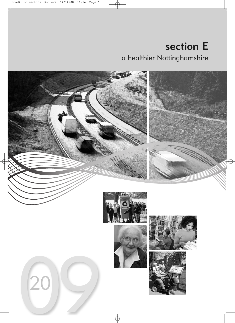# section E a healthier Nottinghamshire

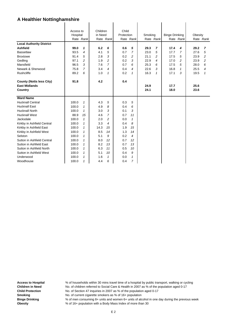| <b>Local Authority District</b> | Access to<br>Hospital | Rate Rank      | Children<br>in Need | Rate Rank      | Child<br>Protection | Rate Rank                | Smoking | Rate Rank    | <b>Binge Drinking</b> | Rate Rank    | Obesity | Rate Rank      |
|---------------------------------|-----------------------|----------------|---------------------|----------------|---------------------|--------------------------|---------|--------------|-----------------------|--------------|---------|----------------|
| <b>Ashfield</b>                 | 99.0                  | 1              | 6.2                 | 6              | 0.6                 | 5                        | 29.3    | 7            | 17.4                  | 4            | 29.2    | 7              |
| <b>Bassetlaw</b>                | 93.5                  | 4              | 4.1                 | 5              | 0.7                 | 7                        | 23.0    | 5            | 17.7                  | 7            | 27.6    | 5              |
| <b>Broxtowe</b>                 | 91.4                  | 5              | 2.8                 | 3              | 0.2                 | $\overline{c}$           | 21.1    | 2            | 17.5                  | 5            | 23.9    | $\overline{c}$ |
| Gedling                         | 97.1                  | 2              | 1.9                 | $\overline{c}$ | 0.2                 | 3                        | 22.9    | 4            | 17.0                  | 2            | 23.9    | $\overline{c}$ |
| Mansfield                       | 96.5                  | 3              | 7.6                 | $\overline{7}$ | 0.7                 | 6                        | 25.3    | 6            | 17.5                  | 5            | 28.0    | 6              |
| Newark & Sherwood               | 75.8                  | $\overline{7}$ | 3.4                 | 4              | 0.4                 | $\overline{\mathcal{A}}$ | 22.6    | 3            | 16.8                  | $\mathbf{1}$ | 25.5    | 4              |
| Rushcliffe                      | 89.2                  | 6              | 1.0                 | 1              | 0.2                 | $\mathbf{1}$             | 16.3    | $\mathbf{1}$ | 17.1                  | 3            | 19.5    | 1              |
|                                 |                       |                |                     |                |                     |                          |         |              |                       |              |         |                |
| <b>County (Notts less City)</b> | 91.8                  |                | 4.2                 |                | 0.4                 |                          |         |              |                       |              |         |                |
| <b>East Midlands</b>            |                       |                |                     |                |                     |                          | 24.9    |              | 17.7                  |              | 25.6    |                |
| Country                         |                       |                |                     |                |                     |                          | 24.1    |              | 18.0                  |              | 23.6    |                |
|                                 |                       |                |                     |                |                     |                          |         |              |                       |              |         |                |
| <b>Ward Name</b>                |                       |                |                     |                |                     |                          |         |              |                       |              |         |                |
| <b>Hucknall Central</b>         | 100.0                 | $\mathbf{1}$   | 4.3                 | 5              | 0.3                 | 5                        |         |              |                       |              |         |                |
| <b>Hucknall East</b>            | 100.0                 | $\mathcal I$   | 4.9                 | 8              | 0.4                 | 6                        |         |              |                       |              |         |                |
| <b>Hucknall North</b>           | 100.0                 | $\mathbf{1}$   | 3.0                 | 3              | 0.1                 | 3                        |         |              |                       |              |         |                |
| <b>Hucknall West</b>            | 88.9                  | 15             | 4.6                 | $\overline{7}$ | 0.7                 | 11                       |         |              |                       |              |         |                |
| Jacksdale                       | 100.0                 | $\mathbf{1}$   | 2.0                 | $\overline{c}$ | 0.0                 | $\mathbf{1}$             |         |              |                       |              |         |                |
| Kirkby in Ashfield Central      | 100.0                 | $\mathcal I$   | 3.3                 | 4              | 0.4                 | 8                        |         |              |                       |              |         |                |
| Kirkby in Ashfield East         | 100.0                 | $\mathbf{1}$   | 14.3                | 15             | 1.9                 | 15                       |         |              |                       |              |         |                |
| Kirkby in Ashfield West         | 100.0                 | $\mathbf{1}$   | 8.5                 | 14             | 1.3                 | 14                       |         |              |                       |              |         |                |
| Selston                         | 100.0                 | $\mathcal I$   | 5.1                 | 9              | 0.2                 | 4                        |         |              |                       |              |         |                |
| Sutton in Ashfield Central      | 100.0                 | 1              | 8.0                 | 12             | 0.7                 | 12                       |         |              |                       |              |         |                |
| Sutton in Ashfield East         | 100.0                 | 1              | 8.2                 | 13             | 0.7                 | 13                       |         |              |                       |              |         |                |
| Sutton in Ashfield North        | 100.0                 | $\mathcal I$   | 6.3                 | 11             | 0.5                 | 10                       |         |              |                       |              |         |                |
| Sutton in Ashfield West         | 100.0                 | $\mathbf{1}$   | 5.1                 | 10             | 0.4                 | 9                        |         |              |                       |              |         |                |
| Underwood                       | 100.0                 | $\mathbf{1}$   | 1.6                 | 1              | 0.0                 | $\mathbf{1}$             |         |              |                       |              |         |                |
| Woodhouse                       | 100.0                 | $\mathbf{1}$   | 4.4                 | 6              | 0.4                 | 7                        |         |              |                       |              |         |                |

Access to Hospital **800 %** of households within 30 mins travel time of a hospital by public transport, walking or cycling **Children in Need** No. of children referred to Social Care & Health in 2007 as % of the population aged 0-17 **Child Protection** No. of Section 47 inquiries in 2007 as % of the population aged 0-17 **Smoking** No. of current cigarette smokers as % of 16+ population

**Binge Drinking** % of men consuming 8+ units and women 6+ units of alcohol in one day during the previous week **Obesity** 8 Mbosof 16+ population with a Body Mass Index of more than 30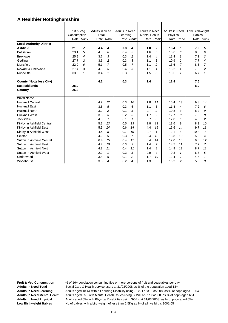|                                 | Fruit & Vea |                | <b>Adults in Need</b> |                | <b>Adults in Need</b> |                | <b>Adults in Need</b> |                | <b>Adults in Need</b> |                | Low Birthweight |                |
|---------------------------------|-------------|----------------|-----------------------|----------------|-----------------------|----------------|-----------------------|----------------|-----------------------|----------------|-----------------|----------------|
|                                 | Consumption |                | Total                 |                | Learning              |                | <b>Mental Health</b>  |                | Physical              |                | <b>Babies</b>   |                |
|                                 |             | Rate Rank      |                       | Rate Rank      |                       | Rate Rank      |                       | Rate Rank      |                       | Rate Rank      |                 | Rate Rank      |
| <b>Local Authority District</b> |             |                |                       |                |                       |                |                       |                |                       |                |                 |                |
| <b>Ashfield</b>                 | 21.0        | $\overline{7}$ | 4.4                   | 4              | 0.3                   | 4              | 1.8                   | $\overline{ }$ | 13.4                  | 5              | 7.9             | 5              |
| <b>Bassetlaw</b>                | 23.1        | 5              | 4.8                   | 6              | 0.4                   | 5              | 1.6                   | 6              | 13.6                  | 6              | 8.0             | 6              |
| <b>Broxtowe</b>                 | 25.8        | 4              | 3.7                   | 3              | 0.3                   | $\mathbf{1}$   | 1.4                   | 4              | 11.4                  | 3              | 7.1             | 3              |
| Gedling                         | 27.7        | $\overline{c}$ | 3.6                   | $\overline{2}$ | 0.3                   | 3              | 1.1                   | 3              | 10.9                  | $\overline{c}$ | 7.7             | 4              |
| Mansfield                       | 22.0        | 6              | 5.1                   | $\overline{7}$ | 0.5                   | $\overline{7}$ | 1.1                   | $\overline{c}$ | 13.6                  | $\overline{7}$ | 8.5             | $\overline{7}$ |
| Newark & Sherwood               | 27.4        | 3              | 4.5                   | 5              | 0.4                   | 6              | 1.1                   | $\mathbf{1}$   | 13.2                  | 4              | 7.0             | 2              |
| Rushcliffe                      | 33.5        | $\mathbf{1}$   | 3.4                   | 1              | 0.3                   | $\overline{c}$ | 1.5                   | 5              | 10.5                  | $\mathbf{1}$   | 6.7             | $\mathbf{1}$   |
| <b>County (Notts less City)</b> |             |                | 4.2                   |                | 0.3                   |                | 1.4                   |                | 12.4                  |                | 7.6             |                |
| <b>East Midlands</b>            | 25.9        |                |                       |                |                       |                |                       |                |                       |                | 8.0             |                |
| Country                         | 26.3        |                |                       |                |                       |                |                       |                |                       |                |                 |                |
| <b>Ward Name</b>                |             |                |                       |                |                       |                |                       |                |                       |                |                 |                |
| <b>Hucknall Central</b>         |             |                | 4.9                   | 12             | 0.3                   | 10             | 1.8                   | 11             | 15.4                  | 13             | 9.8             | 14             |
| <b>Hucknall East</b>            |             |                | 3.5                   | 5              | 0.3                   | 6              | 1.1                   | 5              | 11.4                  | 4              | 7.2             | 6              |
| <b>Hucknall North</b>           |             |                | 3.2                   | $\overline{c}$ | 0.1                   | 3              | 0.7                   | 2              | 10.8                  | 3              | 8.2             | 9              |
| <b>Hucknall West</b>            |             |                | 3.3                   | 3              | 0.2                   | 5              | 1.7                   | 9              | 12.7                  | 8              | 7.8             | 8              |
| Jacksdale                       |             |                | 4.0                   | $\overline{7}$ | 0.1                   | $\mathbf{1}$   | 0.7                   | 3              | 12.0                  | 5              | 4.6             | 2              |
| Kirkby in Ashfield Central      |             |                | 5.3                   | 13             | 0.5                   | 13             | 2.8                   | 13             | 13.6                  | 9              | 8.3             | 10             |
| Kirkby in Ashfield East         |             |                | 5.9                   | 14             | 0.6                   | 14             | 4.4                   | 15             | 16.6                  | 14             | 9.7             | 13             |
| Kirkby in Ashfield West         |             |                | 4.4                   | 8              | 0.7                   | 15             | 0.7                   | $\mathbf{1}$   | 12.1                  | 6              | 10.3            | 15             |
| Selston                         |             |                | 4.6                   | 9              | 0.3                   | $\overline{7}$ | 2.4                   | 12             | 13.8                  | 10             | 5.8             | 4              |
| Sutton in Ashfield Central      |             |                | 6.4                   | 15             | 0.4                   | 12             | 3.4                   | 14             | 17.0                  | 15             | 9.0             | 12             |
| Sutton in Ashfield East         |             |                | 4.7                   | 10             | 0.3                   | 9              | 1.4                   | $\overline{7}$ | 14.7                  | 11             | 7.7             | $\overline{7}$ |
| Sutton in Ashfield North        |             |                | 4.8                   | 11             | 0.4                   | 11             | 1.4                   | 8              | 14.9                  | 12             | 8.7             | 11             |
| Sutton in Ashfield West         |             |                | 2.9                   | $\mathbf{1}$   | 0.3                   | 8              | 0.9                   | 4              | 9.3                   | $\mathbf{1}$   | 6.7             | 5              |
| Underwood                       |             |                | 3.8                   | 6              | 0.1                   | 2              | 1.7                   | 10             | 12.4                  | 7              | 4.5             | 1              |
| Woodhouse                       |             |                | 3.5                   | 4              | 0.2                   | 4              | 1.3                   | 6              | 10.2                  | 2              | 5.8             | 3              |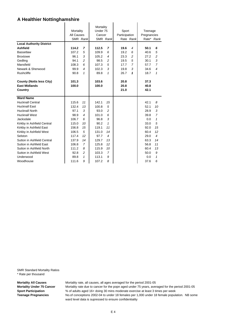|                                 |                   |                | Mortality |                |               |                |             |                          |
|---------------------------------|-------------------|----------------|-----------|----------------|---------------|----------------|-------------|--------------------------|
|                                 | Mortality         |                | Under 75  |                | Sport         |                | Teenage     |                          |
|                                 | <b>All Causes</b> |                | Cancer    |                | Participation |                | Pregnancies |                          |
|                                 |                   | SMR Rank       |           | SMR Rank       |               | Rate Rank      |             | Rate* Rank               |
| <b>Local Authority District</b> |                   |                |           |                |               |                |             |                          |
| <b>Ashfield</b>                 | 114.2             | 7              | 112.5     | 7              | 19.6          | 4              | 50.1        | 6                        |
| <b>Bassetlaw</b>                | 107.2             | 5              | 109.9     | 6              | 19.2          | 6              | 40.6        | 5                        |
| <b>Broxtowe</b>                 | 96.1              | 3              | 105.2     | 4              | 23.3          | 2              | 27.2        | $\overline{c}$           |
| Gedling                         | 94.1              | $\overline{c}$ | 98.5      | $\overline{2}$ | 19.5          | 5              | 30.1        | 3                        |
| Mansfield                       | 108.3             | 6              | 107.3     | 5              | 17.7          | $\overline{7}$ | 57.7        | $\overline{7}$           |
| Newark & Sherwood               | 99.9              | 4              | 102.3     | 3              | 19.8          | 3              | 34.6        | 4                        |
| <b>Rushcliffe</b>               | 90.8              | $\mathbf{1}$   | 89.8      | $\mathbf{1}$   | 26.7          | 1              | 18.7        | 1                        |
| <b>County (Notts less City)</b> | 101.3             |                | 103.6     |                | 20.8          |                | 37.3        |                          |
| <b>East Midlands</b>            | 100.0             |                | 100.0     |                | 20.8          |                | 40.8        |                          |
| Country                         |                   |                |           |                | 21.0          |                | 42.1        |                          |
|                                 |                   |                |           |                |               |                |             |                          |
| <b>Ward Name</b>                |                   |                |           |                |               |                |             |                          |
| <b>Hucknall Central</b>         | 115.6             | 11             | 142.1     | 15             |               |                | 42.1        | 8                        |
| <b>Hucknall East</b>            | 132.4             | 13             | 100.8     | 5              |               |                | 52.1        | 10                       |
| <b>Hucknall North</b>           | 97.1              | 3              | 93.0      | $\overline{2}$ |               |                | 28.9        | 3                        |
| <b>Hucknall West</b>            | 98.9              | 4              | 101.0     | 6              |               |                | 39.8        | $\overline{7}$           |
| Jacksdale                       | 106.7             | 6              | 96.8      | 3              |               |                | 0.0         | 1                        |
| Kirkby in Ashfield Central      | 115.0             | 10             | 90.2      | 1              |               |                | 33.0        | 5                        |
| Kirkby in Ashfield East         | 156.8             | 15             | 119.1     | 11             |               |                | 92.0        | 15                       |
| Kirkby in Ashfield West         | 106.5             | 5              | 131.0     | 14             |               |                | 60.4        | 12                       |
| Selston                         | 117.4             | 12             | 97.7      | 4              |               |                | 29.0        | $\overline{\mathcal{A}}$ |
| Sutton in Ashfield Central      | 137.9             | 14             | 129.7     | 13             |               |                | 63.3        | 14                       |
| Sutton in Ashfield East         | 106.8             | $\overline{7}$ | 125.8     | 12             |               |                | 56.8        | 11                       |
| Sutton in Ashfield North        | 111.2             | 8              | 115.9     | 10             |               |                | 60.4        | 13                       |
| Sutton in Ashfield West         | 92.8              | $\overline{c}$ | 103.3     | 7              |               |                | 50.0        | 9                        |
| Underwood                       | 89.8              | 1              | 113.1     | 9              |               |                | 0.0         | 1                        |
| Woodhouse                       | 111.6             | 9              | 107.2     | 8              |               |                | 37.6        | 6                        |

SMR Standard Mortality Ratios \* Rate per thousand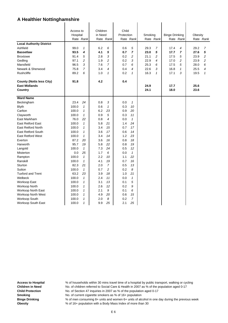|                                 | Access to<br>Hospital  | Children<br>in Need             | Child<br>Protection   | Smoking                  | <b>Binge Drinking</b> | Obesity                |
|---------------------------------|------------------------|---------------------------------|-----------------------|--------------------------|-----------------------|------------------------|
|                                 | Rate Rank              | Rate Rank                       | Rate Rank             | Rate Rank                | Rate Rank             | Rate Rank              |
| <b>Local Authority District</b> |                        |                                 |                       |                          |                       |                        |
| Ashfield                        | $\mathbf{1}$<br>99.0   | 6<br>6.2                        | 5<br>0.6              | $\boldsymbol{7}$<br>29.3 | 17.4<br>4             | $\overline{7}$<br>29.2 |
| <b>Bassetlaw</b>                | 93.5<br>4              | 5<br>4.1                        | $\overline{7}$<br>0.7 | 5<br>23.0                | 7<br>17.7             | 5<br>27.6              |
| <b>Broxtowe</b>                 | 91.4<br>5              | 2.8<br>3                        | 0.2<br>2              | 21.1<br>2                | 17.5<br>5             | 23.9<br>2              |
| Gedling                         | $\overline{c}$<br>97.1 | $\overline{c}$<br>1.9           | 0.2<br>3              | $\overline{4}$<br>22.9   | 2<br>17.0             | 23.9<br>$\overline{c}$ |
| Mansfield                       | 3<br>96.5              | $\overline{7}$<br>7.6           | 0.7<br>6              | 25.3<br>6                | 5<br>17.5             | 6<br>28.0              |
| Newark & Sherwood               | 7<br>75.8              | 3.4<br>4                        | 0.4<br>4              | 22.6<br>3                | 16.8<br>1             | 25.5<br>4              |
| Rushcliffe                      | 6<br>89.2              | 1.0<br>$\mathbf{1}$             | 0.2<br>$\mathbf{1}$   | 16.3<br>1                | 3<br>17.1             | 19.5<br>$\mathbf{1}$   |
|                                 |                        |                                 |                       |                          |                       |                        |
| <b>County (Notts less City)</b> | 91.8                   | 4.2                             | 0.4                   |                          |                       |                        |
| <b>East Midlands</b>            |                        |                                 |                       | 24.9                     | 17.7                  | 25.6                   |
| Country                         |                        |                                 |                       | 24.1                     | 18.0                  | 23.6                   |
|                                 |                        |                                 |                       |                          |                       |                        |
| <b>Ward Name</b>                |                        |                                 |                       |                          |                       |                        |
| Beckingham                      | 23.4<br>24             | 0.8<br>3                        | 0.0<br>$\mathbf{1}$   |                          |                       |                        |
| Blyth                           | $\mathbf{1}$<br>100.0  | $\mathbf{1}$<br>0.6             | 0.3<br>10             |                          |                       |                        |
| Carlton                         | 100.0<br>$\mathcal I$  | 6.2<br>23                       | 0.9<br>20             |                          |                       |                        |
| Clayworth                       | 100.0<br>$\mathbf{1}$  | 5<br>0.9                        | 0.3<br>11             |                          |                       |                        |
| East Markham                    | 22<br>76.0             | $\overline{\mathcal{A}}$<br>0.8 | $\mathbf{1}$<br>0.0   |                          |                       |                        |
| <b>East Retford East</b>        | 100.0<br>$\mathcal I$  | 5.8<br>21                       | 1.4<br>24             |                          |                       |                        |
| <b>East Retford North</b>       | 100.0<br>$\mathbf{1}$  | 3.4<br>15                       | 0.7<br>17             |                          |                       |                        |
| <b>East Retford South</b>       | 100.0<br>$\mathcal I$  | 3.6<br>17                       | 0.6<br>14             |                          |                       |                        |
| <b>East Retford West</b>        | 100.0<br>$\mathbf{1}$  | 3.4<br>14                       | 1.2<br>23             |                          |                       |                        |
| Everton                         | 87.2<br>20             | 3.6<br>16                       | 0.8<br>18             |                          |                       |                        |
| Harworth                        | 95.7<br>19             | 5.8<br>22                       | 0.8<br>19             |                          |                       |                        |
| Langold                         | $\mathbf{1}$<br>100.0  | 7.3<br>24                       | 0.5<br>12             |                          |                       |                        |
| Misterton                       | 25<br>0.0              | 1.7<br>6                        | 0.0<br>$\mathbf{1}$   |                          |                       |                        |
| Rampton                         | 100.0<br>$\mathbf{1}$  | 2.2<br>10                       | 1.1<br>22             |                          |                       |                        |
| Ranskill                        | 100.0<br>$\mathcal I$  | 4.1<br>19                       | 0.7<br>16             |                          |                       |                        |
| Sturton                         | 82.3<br>21             | 2.0<br>7                        | 0.5<br>13             |                          |                       |                        |
| Sutton                          | 100.0<br>$\mathbf{1}$  | 2<br>0.7                        | 0.2<br>8              |                          |                       |                        |
| <b>Tuxford and Trent</b>        | 63.2<br>23             | 3.9<br>18                       | 1.0<br>21             |                          |                       |                        |
| Welbeck                         | 100.0<br>$\mathbf{1}$  | 2.4<br>11                       | 0.0<br>$\mathbf{1}$   |                          |                       |                        |
| <b>Worksop East</b>             | 100.0<br>$\mathbf{1}$  | 3.1<br>13                       | 0.1<br>5              |                          |                       |                        |
| <b>Worksop North</b>            | 100.0<br>$\mathbf{1}$  | 12<br>2.6                       | 9<br>0.2              |                          |                       |                        |
| Worksop North East              | 100.0<br>$\mathbf{1}$  | 2.1<br>9                        | 6<br>0.1              |                          |                       |                        |
| Worksop North West              | 100.0<br>1             | 4.9<br>20                       | 0.6<br>15             |                          |                       |                        |
| Worksop South                   | 100.0<br>1             | 8<br>2.0                        | $\overline{7}$<br>0.2 |                          |                       |                        |
| Worksop South East              | 100.0<br>1             | 25<br>9.9                       | 25<br>2.1             |                          |                       |                        |

Access to Hospital **600 %** of households within 30 mins travel time of a hospital by public transport, walking or cycling **Children in Need** No. of children referred to Social Care & Health in 2007 as % of the population aged 0-17 **Child Protection** No. of Section 47 inquiries in 2007 as % of the population aged 0-17 **Smoking** No. of current cigarette smokers as % of 16+ population

**Binge Drinking** % of men consuming 8+ units and women 6+ units of alcohol in one day during the previous week **Obesity** 8 Mbostow 60 Mbostow 60 Mbostow 616+ population with a Body Mass Index of more than 30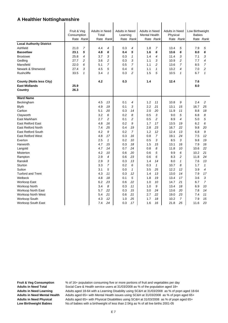|                                 | Fruit & Veg |                | Adults in Need |                | <b>Adults in Need</b> |                | Adults in Need       |                | <b>Adults in Need</b> |              |                                  |                |
|---------------------------------|-------------|----------------|----------------|----------------|-----------------------|----------------|----------------------|----------------|-----------------------|--------------|----------------------------------|----------------|
|                                 | Consumption |                | Total          |                | Learning              |                | <b>Mental Health</b> |                | Physical              |              | Low Birthweight<br><b>Babies</b> |                |
|                                 |             | Rate Rank      |                | Rate Rank      |                       | Rate Rank      |                      | Rate Rank      |                       | Rate Rank    |                                  | Rate Rank      |
| <b>Local Authority District</b> |             |                |                |                |                       |                |                      |                |                       |              |                                  |                |
| Ashfield                        | 21.0        | $\overline{7}$ | 4.4            | 4              | 0.3                   | 4              | 1.8                  | $\overline{7}$ | 13.4                  | 5            | 7.9                              | 5              |
| <b>Bassetlaw</b>                | 23.1        | 5              | 4.8            | 6              | 0.4                   | 5              | 1.6                  | 6              | 13.6                  | 6            | 8.0                              | 6              |
| <b>Broxtowe</b>                 | 25.8        | $\overline{4}$ | 3.7            | 3              | 0.3                   | $\mathbf{1}$   | 1.4                  | $\overline{4}$ | 11.4                  | 3            | 7.1                              | 3              |
| Gedling                         | 27.7        | $\overline{c}$ | 3.6            | 2              | 0.3                   | 3              | 1.1                  | 3              | 10.9                  | 2            | 7.7                              | 4              |
| Mansfield                       | 22.0        | 6              | 5.1            | $\overline{7}$ | 0.5                   | $\overline{7}$ | 1.1                  | $\overline{c}$ | 13.6                  | 7            | 8.5                              | $\overline{7}$ |
| Newark & Sherwood               | 27.4        | 3              | 4.5            | 5              | 0.4                   | 6              | 1.1                  | $\mathbf{1}$   | 13.2                  | 4            | 7.0                              | 2              |
| Rushcliffe                      | 33.5        | $\mathcal I$   | 3.4            | $\mathbf{1}$   | 0.3                   | $\overline{c}$ | 1.5                  | 5              | 10.5                  | $\mathbf{1}$ | 6.7                              | $\mathbf{1}$   |
|                                 |             |                |                |                |                       |                |                      |                |                       |              |                                  |                |
| <b>County (Notts less City)</b> |             |                | 4.2            |                | 0.3                   |                | 1.4                  |                | 12.4                  |              | 7.6                              |                |
| <b>East Midlands</b>            | 25.9        |                |                |                |                       |                |                      |                |                       |              | 8.0                              |                |
| Country                         | 26.3        |                |                |                |                       |                |                      |                |                       |              |                                  |                |
|                                 |             |                |                |                |                       |                |                      |                |                       |              |                                  |                |
| <b>Ward Name</b>                |             |                |                |                |                       |                |                      |                |                       |              |                                  |                |
| Beckingham                      |             |                | 4.5            | 13             | 0.1                   | 4              | 1.2                  | 11             | 10.8                  | 9            | 2.4                              | $\overline{c}$ |
| <b>Blyth</b>                    |             |                | 4.9            | 19             | 0.1                   | 3              | 2.2                  | 21             | 13.1                  | 15           | 16.7                             | 25             |
| Carlton                         |             |                | 5.1            | 20             | 0.3                   | 14             | 2.0                  | 20             | 11.9                  | 11           | 8.8                              | 18             |
| Clayworth                       |             |                | 3.2            | 6              | 0.2                   | 8              | 0.5                  | 3              | 9.0                   | 5            | 6.8                              | 8              |
| East Markham                    |             |                | 2.7            | $\overline{c}$ | 0.1                   | 2              | 0.5                  | $\overline{c}$ | 8.9                   | 4            | 5.0                              | 5              |
| <b>East Retford East</b>        |             |                | 4.8            | 16             | 0.2                   | 9              | 1.7                  | 17             | 13.5                  | 19           | 6.2                              | 6              |
| <b>East Retford North</b>       |             |                | 7.4            | 25             | 0.4                   | 19             | 2.8                  | 23             | 16.7                  | 22           | 9.8                              | 20             |
| <b>East Retford South</b>       |             |                | 4.2            | 9              | 0.2                   | $\overline{7}$ | 1.2                  | 12             | 12.4                  | 13           | 6.8                              | 9              |
| <b>East Retford West</b>        |             |                | 4.8            | 17             | 0.3                   | 16             | 0.8                  | $\overline{7}$ | 19.1                  | 24           | 7.5                              | 12             |
| Everton                         |             |                | 2.5            | $\mathbf{1}$   | 0.2                   | 10             | 0.5                  | 3              | 8.5                   | 3            | 9.8                              | 19             |
| Harworth                        |             |                | 4.7            | 15             | 0.3                   | 18             | 1.5                  | 15             | 13.1                  | 16           | 7.9                              | 16             |
| Langold                         |             |                | 4.7            | 14             | 0.7                   | 24             | 0.8                  | 8              | 11.8                  | 10           | 10.6                             | 22             |
| Misterton                       |             |                | 4.2            | 10             | 0.6                   | 20             | 0.6                  | 5              | 9.9                   | 6            | 10.2                             | 21             |
| Rampton                         |             |                | 2.9            | 4              | 0.6                   | 23             | 0.6                  | 6              | 8.3                   | 2            | 11.8                             | 24             |
| Ranskill                        |             |                | 2.9            | 3              | 0.3                   | 13             | 1.4                  | 14             | 8.0                   | $\mathbf{1}$ | 7.6                              | 13             |
| Sturton                         |             |                | 3.3            | $\overline{7}$ | 0.2                   | 6              | 0.3                  | $\mathbf{1}$   | 10.7                  | 8            | 1.7                              | $\mathbf{1}$   |
| Sutton                          |             |                | 3.1            | 5              | 0.0                   | $\mathbf{1}$   | 3.5                  | 25             | 12.2                  | 12           | 3.9                              | 4              |
| <b>Tuxford and Trent</b>        |             |                | 4.3            | 11             | 0.3                   | 12             | 1.4                  | 13             | 13.0                  | 14           | 7.9                              | 17             |
| Welbeck                         |             |                | 4.8            | 18             | 0.1                   | 5              | 1.8                  | 19             | 13.4                  | 17           | 3.6                              | 3              |
| <b>Worksop East</b>             |             |                | 6.2            | 23             | 0.6                   | 22             | 1.0                  | 10             | 14.7                  | 21           | 6.7                              | $\overline{7}$ |
| <b>Worksop North</b>            |             |                | 3.4            | 8              | 0.3                   | 11             | 1.0                  | 9              | 13.4                  | 18           | 6.9                              | 10             |
| <b>Worksop North East</b>       |             |                | 5.7            | 22             | 0.3                   | 15             | 3.0                  | 24             | 13.6                  | 20           | 7.8                              | 14             |
| Worksop North West              |             |                | 5.4            | 21             | 0.6                   | 21             | 2.7                  | 22             | 19.0                  | 23           | 7.4                              | 11             |
| Worksop South                   |             |                | 4.3            | 12             | 1.0                   | 25             | 1.7                  | 18             | 10.2                  | 7            | 7.9                              | 15             |
| <b>Worksop South East</b>       |             |                | 7.4            | 24             | 0.3                   | 17             | 1.6                  | 16             | 21.8                  | 25           | 11.6                             | 23             |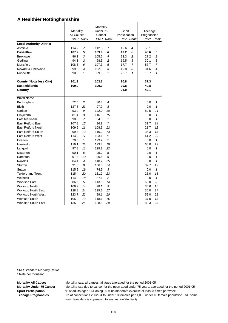|                                 |                        | Mortality              |                        |                        |
|---------------------------------|------------------------|------------------------|------------------------|------------------------|
|                                 | Mortality              | Under 75               | Sport                  | Teenage                |
|                                 | All Causes             | Cancer                 | Participation          | Pregnancies            |
|                                 | SMR Rank               | SMR Rank               | Rate Rank              | Rate* Rank             |
| <b>Local Authority District</b> |                        |                        |                        |                        |
| Ashfield                        | 7<br>114.2             | 112.5<br>7             | 19.6<br>4              | 50.1<br>6              |
| <b>Bassetlaw</b>                | 5<br>107.2             | 6<br>109.9             | 6<br>19.2              | 5<br>40.6              |
| <b>Broxtowe</b>                 | 3<br>96.1              | 105.2<br>4             | 2<br>23.3              | $\overline{c}$<br>27.2 |
| Gedling                         | $\overline{c}$<br>94.1 | 2<br>98.5              | 5<br>19.5              | 3<br>30.1              |
| Mansfield                       | 108.3<br>6             | 5<br>107.3             | $\overline{7}$<br>17.7 | 7<br>57.7              |
| Newark & Sherwood               | 4<br>99.9              | 3<br>102.3             | 3<br>19.8              | 4<br>34.6              |
| <b>Rushcliffe</b>               | $\mathbf{1}$<br>90.8   | $\mathbf{1}$<br>89.8   | 26.7<br>1              | 18.7<br>1              |
| <b>County (Notts less City)</b> | 101.3                  | 103.6                  | 20.8                   | 37.3                   |
| <b>East Midlands</b>            | 100.0                  | 100.0                  | 20.8                   | 40.8                   |
| Country                         |                        |                        | 21.0                   | 42.1                   |
|                                 |                        |                        |                        |                        |
| <b>Ward Name</b>                |                        |                        |                        |                        |
| Beckingham                      | 72.5<br>2              | 80.3<br>4              |                        | 0.0<br>1               |
| <b>Blyth</b>                    | 127.8<br>23            | 97.7<br>8              |                        | 0.0<br>1               |
| Carlton                         | 93.0<br>9              | 122.0<br>18            |                        | 82.5<br>24             |
| Clayworth                       | 3<br>81.4              | 15<br>116.5            |                        | $\mathbf{1}$<br>0.0    |
| East Markham                    | 7<br>90.3              | $\mathbf{1}$<br>54.8   |                        | $\mathbf{1}$<br>0.0    |
| <b>East Retford East</b>        | 107.8<br>15            | $\overline{7}$<br>96.9 |                        | 31.7<br>14             |
| <b>East Retford North</b>       | 109.5<br>16            | 12<br>108.9            |                        | 21.7<br>12             |
| <b>East Retford South</b>       | 99.4<br>12             | 110.2<br>13            |                        | 35.3<br>15             |
| <b>East Retford West</b>        | 114.2<br>17            | 103.1<br>11            |                        | 41.2<br>20             |
| Everton                         | 70.5<br>$\mathbf{1}$   | 21<br>129.2            |                        | $\mathbf{1}$<br>0.0    |
| Harworth                        | 119.1<br>21            | 123.8<br>19            |                        | 22<br>60.0             |
| Langold                         | 97.8<br>11             | 129.8<br>22            |                        | 0.0<br>$\mathbf{1}$    |
| Misterton                       | 90.1<br>6              | 95.2<br>5              |                        | 0.0<br>$\mathbf{1}$    |
| Rampton                         | 97.4<br>10             | 96.5<br>6              |                        | 0.0<br>1               |
| Ranskill                        | 84.4<br>4              | 25<br>140.2            |                        | 0.0<br>1               |
| Sturton                         | 91.0<br>8              | 24<br>136.5            |                        | 39.7<br>19             |
| Sutton                          | 115.2<br>19            | 3<br>74.5              |                        | 0.0<br>1               |
| <b>Tuxford and Trent</b>        | 115.4<br>20            | 23<br>131.2            |                        | 13<br>25.0             |
| Welbeck                         | 114.8<br>18            | 57.1<br>2              |                        | 0.0<br>$\mathbf{1}$    |
| <b>Worksop East</b>             | 5<br>86.6              | 113.5<br>14            |                        | 23<br>63.0             |
| Worksop North                   | 106.9<br>14            | 98.1<br>9              |                        | 35.6<br>16             |
| <b>Worksop North East</b>       | 128.8<br>24            | 119.1<br>17            |                        | 36.0<br>17             |
| <b>Worksop North West</b>       | 123.7<br>22            | 99.1<br>10             |                        | 21<br>52.0             |
| <b>Worksop South</b>            | 13<br>105.0            | 16<br>118.1            |                        | 18<br>37.0             |
| <b>Worksop South East</b>       | 135.0<br>25            | 128.5<br>20            |                        | 83.3<br>25             |
|                                 |                        |                        |                        |                        |

SMR Standard Mortality Ratios \* Rate per thousand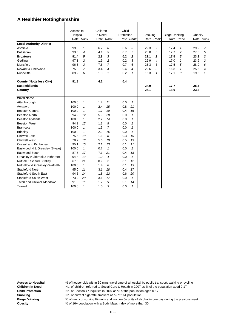|                                   | Access to |                | Children |                | Child      |                |         |                |                       |           |         |                |
|-----------------------------------|-----------|----------------|----------|----------------|------------|----------------|---------|----------------|-----------------------|-----------|---------|----------------|
|                                   | Hospital  |                | in Need  |                | Protection |                | Smoking |                | <b>Binge Drinking</b> |           | Obesity |                |
|                                   |           | Rate Rank      |          | Rate Rank      |            | Rate Rank      |         | Rate Rank      |                       | Rate Rank |         | Rate Rank      |
| <b>Local Authority District</b>   |           |                |          |                |            |                |         |                |                       |           |         |                |
| Ashfield                          | 99.0      | $\mathbf{1}$   | 6.2      | 6              | 0.6        | 5              | 29.3    | 7              | 17.4                  | 4         | 29.2    | 7              |
| <b>Bassetlaw</b>                  | 93.5      | 4              | 4.1      | 5              | 0.7        | $\overline{7}$ | 23.0    | 5              | 17.7                  | 7         | 27.6    | 5              |
| <b>Broxtowe</b>                   | 91.4      | 5              | 2.8      | 3              | 0.2        | $\overline{2}$ | 21.1    | $\overline{2}$ | 17.5                  | 5         | 23.9    | $\overline{2}$ |
| Gedling                           | 97.1      | 2              | 1.9      | $\overline{c}$ | 0.2        | 3              | 22.9    | 4              | 17.0                  | 2         | 23.9    | $\overline{c}$ |
| Mansfield                         | 96.5      | 3              | 7.6      | $\overline{7}$ | 0.7        | 6              | 25.3    | 6              | 17.5                  | 5         | 28.0    | 6              |
| Newark & Sherwood                 | 75.8      | $\overline{7}$ | 3.4      | 4              | 0.4        | $\overline{4}$ | 22.6    | 3              | 16.8                  | 1         | 25.5    | 4              |
| Rushcliffe                        | 89.2      | 6              | 1.0      | 1              | 0.2        | $\mathbf{1}$   | 16.3    | $\mathbf{1}$   | 17.1                  | 3         | 19.5    | $\mathbf{1}$   |
| <b>County (Notts less City)</b>   | 91.8      |                | 4.2      |                | 0.4        |                |         |                |                       |           |         |                |
| <b>East Midlands</b>              |           |                |          |                |            |                | 24.9    |                | 17.7                  |           | 25.6    |                |
| Country                           |           |                |          |                |            |                | 24.1    |                | 18.0                  |           | 23.6    |                |
|                                   |           |                |          |                |            |                |         |                |                       |           |         |                |
| <b>Ward Name</b>                  |           |                |          |                |            |                |         |                |                       |           |         |                |
| Attenborough                      | 100.0     | $\mathcal I$   | 1.7      | 11             | 0.0        | $\mathbf{1}$   |         |                |                       |           |         |                |
| Awsworth                          | 100.0     | $\mathcal I$   | 2.4      | 15             | 0.8        | 21             |         |                |                       |           |         |                |
| <b>Beeston Central</b>            | 100.0     | $\mathbf{1}$   | 1.7      | 10             | 0.4        | 16             |         |                |                       |           |         |                |
| <b>Beeston North</b>              | 94.9      | 12             | 5.9      | 20             | 0.0        | $\mathbf{1}$   |         |                |                       |           |         |                |
| <b>Beeston Rylands</b>            | 100.0     | $\mathbf{1}$   | 2.2      | 14             | 0.0        | $\mathbf{1}$   |         |                |                       |           |         |                |
| <b>Beeston West</b>               | 94.2      | 15             | 1.3      | 5              | 0.0        | $\mathbf{1}$   |         |                |                       |           |         |                |
| <b>Bramcote</b>                   | 100.0     | $\mathbf{1}$   | 1.5      | $\overline{7}$ | 0.0        | 1              |         |                |                       |           |         |                |
| <b>Brinsley</b>                   | 100.0     | $\mathbf{1}$   | 2.9      | 16             | 0.0        | $\mathbf{1}$   |         |                |                       |           |         |                |
| <b>Chilwell East</b>              | 75.5      | 19             | 1.6      | 8              | 0.3        | 15             |         |                |                       |           |         |                |
| <b>Chilwell West</b>              | 78.2      | 18             | 5.6      | 19             | 0.5        | 19             |         |                |                       |           |         |                |
| Cossall and Kimberley             | 95.1      | 10             | 2.1      | 13             | 0.1        | 11             |         |                |                       |           |         |                |
| Eastwood N & Greasley (B'vale)    | 100.0     | $\mathbf{1}$   | 0.7      | $\mathbf{1}$   | 0.0        | $\mathbf{1}$   |         |                |                       |           |         |                |
| Eastwood South                    | 87.5      | 17             | 7.1      | 21             | 0.4        | 18             |         |                |                       |           |         |                |
| Greasley (Giltbrook & N'thorpe)   | 94.8      | 13             | 1.0      | $\overline{4}$ | 0.0        | $\mathcal I$   |         |                |                       |           |         |                |
| Nuthall East and Strelley         | 67.5      | 21             | 0.9      | 2              | 0.1        | 12             |         |                |                       |           |         |                |
| Nuthall W & Greasley (Watnall)    | 100.0     | $\mathbf{1}$   | 1.4      | 6              | 0.1        | 13             |         |                |                       |           |         |                |
| Stapleford North                  | 95.0      | 11             | 3.1      | 18             | 0.4        | 17             |         |                |                       |           |         |                |
| <b>Stapleford South East</b>      | 94.3      | 14             | 1.8      | 12             | 0.6        | 20             |         |                |                       |           |         |                |
| <b>Stapleford South West</b>      | 73.2      | 20             | 3.1      | 17             | 0.0        | $\mathbf{1}$   |         |                |                       |           |         |                |
| <b>Toton and Chilwell Meadows</b> | 91.9      | 16             | 1.7      | 9              | 0.1        | 14             |         |                |                       |           |         |                |
| <b>Trowell</b>                    | 100.0     | $\mathbf{1}$   | 1.0      | 3              | 0.0        | 1              |         |                |                       |           |         |                |

**Access to Hospital** % of households within 30 mins travel time of a hospital by public transport, walking or cycling **Children in Need** No. of children referred to Social Care & Health in 2007 as % of the population aged 0-17 **Child Protection** No. of Section 47 inquiries in 2007 as % of the population aged 0-17 **Smoking** No. of current cigarette smokers as % of 16+ population

**Binge Drinking** % of men consuming 8+ units and women 6+ units of alcohol in one day during the previous week **Obesity** 8 Mbostow 60 Mbostow 60 Mbostow 616+ population with a Body Mass Index of more than 30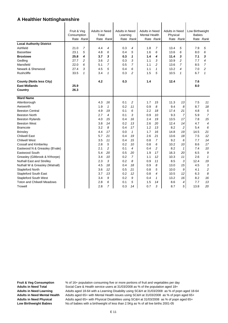|                                   | Fruit & Veg |                | <b>Adults in Need</b> |                | <b>Adults in Need</b> |                | <b>Adults in Need</b> |                | <b>Adults in Need</b> |                | Low Birthweight |                |
|-----------------------------------|-------------|----------------|-----------------------|----------------|-----------------------|----------------|-----------------------|----------------|-----------------------|----------------|-----------------|----------------|
|                                   | Consumption |                | Total                 |                | Learning              |                | <b>Mental Health</b>  |                | Physical              |                | <b>Babies</b>   |                |
|                                   |             | Rate Rank      |                       | Rate Rank      |                       | Rate Rank      |                       | Rate Rank      |                       | Rate Rank      |                 | Rate Rank      |
| <b>Local Authority District</b>   |             |                |                       |                |                       |                |                       |                |                       |                |                 |                |
| Ashfield                          | 21.0        | $\overline{7}$ | 4.4                   | 4              | 0.3                   | 4              | 1.8                   | $\overline{7}$ | 13.4                  | 5              | 7.9             | 5              |
| <b>Bassetlaw</b>                  | 23.1        | 5              | 4.8                   | 6              | 0.4                   | 5              | 1.6                   | 6              | 13.6                  | 6              | 8.0             | 6              |
| <b>Broxtowe</b>                   | 25.8        | 4              | 3.7                   | 3              | 0.3                   | 1              | 1.4                   | 4              | 11.4                  | 3              | 7.1             | 3              |
| Gedling                           | 27.7        | 2              | 3.6                   | $\overline{c}$ | 0.3                   | 3              | 1.1                   | 3              | 10.9                  | 2              | 7.7             | 4              |
| Mansfield                         | 22.0        | 6              | 5.1                   | $\overline{7}$ | 0.5                   | 7              | 1.1                   | $\overline{c}$ | 13.6                  | $\overline{7}$ | 8.5             | $\overline{7}$ |
| Newark & Sherwood                 | 27.4        | 3              | 4.5                   | 5              | 0.4                   | 6              | 1.1                   | $\mathbf{1}$   | 13.2                  | 4              | 7.0             | $\overline{c}$ |
| Rushcliffe                        | 33.5        | $\mathbf{1}$   | 3.4                   | 1              | 0.3                   | $\overline{c}$ | 1.5                   | 5              | 10.5                  | 1              | 6.7             | $\mathbf{1}$   |
| <b>County (Notts less City)</b>   |             |                | 4.2                   |                | 0.3                   |                | 1.4                   |                | 12.4                  |                | 7.6             |                |
| <b>East Midlands</b>              | 25.9        |                |                       |                |                       |                |                       |                |                       |                | 8.0             |                |
| Country                           | 26.3        |                |                       |                |                       |                |                       |                |                       |                |                 |                |
|                                   |             |                |                       |                |                       |                |                       |                |                       |                |                 |                |
| <b>Ward Name</b>                  |             |                |                       |                |                       |                |                       |                |                       |                |                 |                |
| Attenborough                      |             |                | 4.3                   | 16             | 0.1                   | $\overline{c}$ | 1.7                   | 15             | 11.3                  | 13             | 7.5             | 11             |
| Awsworth                          |             |                | 1.9                   | $\mathbf{1}$   | 0.2                   | 11             | 0.9                   | 8              | 9.4                   | 8              | 8.7             | 18             |
| <b>Beeston Central</b>            |             |                | 4.9                   | 19             | 0.1                   | 6              | 2.2                   | 18             | 17.4                  | 21             | 4.8             | 5              |
| <b>Beeston North</b>              |             |                | 2.7                   | $\overline{4}$ | 0.1                   | 3              | 0.9                   | 10             | 9.3                   | 7              | 5.9             | $\overline{7}$ |
| <b>Beeston Rylands</b>            |             |                | 4.0                   | 15             | 0.4                   | 16             | 2.4                   | 19             | 13.5                  | 17             | 7.8             | 15             |
| <b>Beeston West</b>               |             |                | 3.8                   | 14             | 0.2                   | 13             | 2.6                   | 20             | 12.4                  | 14             | 4.7             | $\overline{4}$ |
| <b>Bramcote</b>                   |             |                | 3.2                   | 8              | 0.4                   | 17             | 1.2                   | 13             | 8.2                   | $\overline{c}$ | 5.4             | 6              |
| <b>Brinsley</b>                   |             |                | 4.4                   | 17             | 0.0                   | $\mathbf{1}$   | 1.7                   | 16             | 14.8                  | 19             | 14.5            | 21             |
| <b>Chilwell East</b>              |             |                | 5.7                   | 21             | 0.4                   | 19             | 2.6                   | 21             | 13.6                  | 18             | 7.5             | 12             |
| <b>Chilwell West</b>              |             |                | 3.5                   | 11             | 0.4                   | 15             | 0.8                   | $\overline{7}$ | 9.2                   | 6              | 7.7             | 14             |
| <b>Cossall and Kimberley</b>      |             |                | 2.8                   | 5              | 0.2                   | 10             | 0.8                   | 6              | 10.2                  | 10             | 8.6             | 17             |
| Eastwood N & Greasley (B'vale)    |             |                | 2.1                   | $\overline{c}$ | 0.1                   | 4              | 0.4                   | $\overline{c}$ | 8.2                   | $\mathbf{1}$   | 7.4             | 10             |
| Eastwood South                    |             |                | 5.4                   | 20             | 0.5                   | 20             | 1.9                   | 17             | 16.3                  | 20             | 6.5             | 9              |
| Greasley (Giltbrook & N'thorpe)   |             |                | 3.4                   | 10             | 0.2                   | 7              | 1.1                   | 12             | 10.3                  | 11             | 2.6             | $\mathbf{1}$   |
| <b>Nuthall East and Strelley</b>  |             |                | 2.3                   | 3              | 0.2                   | 8              | 0.9                   | 11             | 8.5                   | 3              | 12.4            | 19             |
| Nuthall W & Greasley (Watnall)    |             |                | 4.5                   | 18             | 0.4                   | 18             | 0.9                   | 8              | 13.0                  | 15             | 4.5             | 3              |
| Stapleford North                  |             |                | 3.6                   | 12             | 0.5                   | 21             | 0.8                   | 5              | 10.0                  | 9              | 4.1             | $\overline{c}$ |
| <b>Stapleford South East</b>      |             |                | 3.7                   | 13             | 0.2                   | 12             | 0.8                   | 4              | 10.5                  | 12             | 6.3             | 8              |
| <b>Stapleford South West</b>      |             |                | 3.4                   | 9              | 0.2                   | 9              | 0.4                   | $\mathbf{1}$   | 13.2                  | 16             | 8.2             | 16             |
| <b>Toton and Chilwell Meadows</b> |             |                | 2.8                   | 6              | 0.1                   | 5              | 1.5                   | 14             | 8.6                   | 4              | 7.7             | 13             |
| <b>Trowell</b>                    |             |                | 2.8                   | 7              | 0.3                   | 14             | 0.7                   | 3              | 8.7                   | $\sqrt{5}$     | 13.8            | 20             |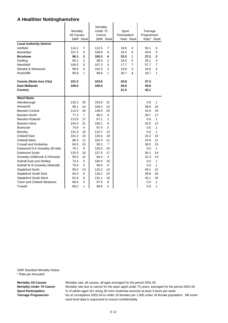|                                   | Mortality  |                | Mortality |                |               |                |             |                |
|-----------------------------------|------------|----------------|-----------|----------------|---------------|----------------|-------------|----------------|
|                                   |            |                | Under 75  |                | Sport         |                | Teenage     |                |
|                                   | All Causes |                | Cancer    |                | Participation |                | Pregnancies |                |
|                                   |            | SMR Rank       |           | SMR Rank       |               | Rate Rank      | Rate*       | Rank           |
| <b>Local Authority District</b>   |            |                |           |                |               |                |             |                |
| Ashfield                          | 114.2      | 7              | 112.5     | $\overline{7}$ | 19.6          | 4              | 50.1        | 6              |
| <b>Bassetlaw</b>                  | 107.2      | 5              | 109.9     | 6              | 19.2          | 6              | 40.6        | 5              |
| <b>Broxtowe</b>                   | 96.1       | 3              | 105.2     | 4              | 23.3          | 2              | 27.2        | $\overline{2}$ |
| Gedling                           | 94.1       | 2              | 98.5      | 2              | 19.5          | 5              | 30.1        | 3              |
| Mansfield                         | 108.3      | 6              | 107.3     | 5              | 17.7          | $\overline{7}$ | 57.7        | 7              |
| Newark & Sherwood                 | 99.9       | 4              | 102.3     | 3              | 19.8          | 3              | 34.6        | 4              |
| <b>Rushcliffe</b>                 | 90.8       | $\mathbf{1}$   | 89.8      | 1              | 26.7          | 1              | 18.7        | 1              |
| <b>County (Notts less City)</b>   | 101.3      |                | 103.6     |                | 20.8          |                | 37.3        |                |
| <b>East Midlands</b>              | 100.0      |                | 100.0     |                | 20.8          |                | 40.8        |                |
| Country                           |            |                |           |                | 21.0          |                | 42.1        |                |
|                                   |            |                |           |                |               |                |             |                |
| <b>Ward Name</b>                  |            |                |           |                |               |                |             |                |
| Attenborough                      | 132.3      | 20             | 153.9     | 21             |               |                | 0.0         | 1              |
| Awsworth                          | 99.1       | 14             | 109.4     | 12             |               |                | 38.8        | 16             |
| <b>Beeston Central</b>            | 113.3      | 16             | 149.5     | 20             |               |                | 42.9        | 19             |
| <b>Beeston North</b>              | 77.3       | $\overline{7}$ | 86.0      | 4              |               |                | 39.7        | 17             |
| <b>Beeston Rylands</b>            | 113.9      | 17             | 67.1      | 1              |               |                | 0.0         | $\mathbf{1}$   |
| <b>Beeston West</b>               | 144.3      | 21             | 100.1     | 9              |               |                | 25.0        | 12             |
| <b>Bramcote</b>                   | 74.9       | 4              | 87.4      | 5              |               |                | 0.0         | $\mathbf{1}$   |
| <b>Brinsley</b>                   | 131.3      | 19             | 110.7     | 13             |               |                | 0.0         | 1              |
| <b>Chilwell East</b>              | 101.0      | 15             | 135.5     | 19             |               |                | 22.2        | 10             |
| <b>Chilwell West</b>              | 86.3       | 11             | 102.3     | 11             |               |                | 24.9        | 11             |
| <b>Cossall and Kimberley</b>      | 84.5       | 10             | 90.1      | $\overline{7}$ |               |                | 38.5        | 15             |
| Eastwood N & Greasley (B'vale)    | 76.1       | 6              | 126.3     | 16             |               |                | 0.0         | $\mathbf{1}$   |
| Eastwood South                    | 125.5      | 18             | 127.0     | 17             |               |                | 36.1        | 14             |
| Greasley (Giltbrook & N'thorpe)   | 90.3       | 12             | 84.4      | 3              |               |                | 31.3        | 13             |
| Nuthall East and Strelley         | 73.4       | 3              | 100.4     | 10             |               |                | 0.0         | $\mathbf{1}$   |
| Nuthall W & Greasley (Watnall)    | 75.4       | 5              | 90.0      | 6              |               |                | 0.0         | $\mathbf{1}$   |
| <b>Stapleford North</b>           | 95.5       | 13             | 115.2     | 14             |               |                | 49.1        | 21             |
| <b>Stapleford South East</b>      | 83.4       | 9              | 118.1     | 15             |               |                | 39.9        | 18             |
| <b>Stapleford South West</b>      | 81.8       | 8              | 131.1     | 18             |               |                | 45.1        | 20             |
| <b>Toton and Chilwell Meadows</b> | 69.4       | $\mathfrak{p}$ | 97.6      | 8              |               |                | 0.0         | 1              |
| Trowell                           | 69.2       | 1              | 69.8      | $\overline{c}$ |               |                | 0.0         | 1              |

SMR Standard Mortality Ratios \* Rate per thousand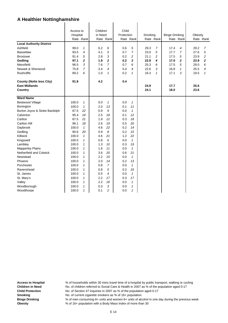|                                 | Access to |                | Children |                | Child      |              |         |              |                       |              |         |              |
|---------------------------------|-----------|----------------|----------|----------------|------------|--------------|---------|--------------|-----------------------|--------------|---------|--------------|
|                                 | Hospital  |                | in Need  |                | Protection |              | Smoking |              | <b>Binge Drinking</b> |              | Obesity |              |
|                                 |           | Rate Rank      |          | Rate Rank      |            | Rate Rank    |         | Rate Rank    |                       | Rate Rank    |         | Rate Rank    |
| <b>Local Authority District</b> |           |                |          |                |            |              |         |              |                       |              |         |              |
| Ashfield                        | 99.0      | 1              | 6.2      | 6              | 0.6        | 5            | 29.3    | 7            | 17.4                  | 4            | 29.2    | 7            |
| <b>Bassetlaw</b>                | 93.5      | 4              | 4.1      | 5              | 0.7        | 7            | 23.0    | 5            | 17.7                  | 7            | 27.6    | 5            |
| <b>Broxtowe</b>                 | 91.4      | 5              | 2.8      | 3              | 0.2        | 2            | 21.1    | 2            | 17.5                  | 5            | 23.9    | 2            |
| Gedling                         | 97.1      | 2              | 1.9      | 2              | 0.2        | 3            | 22.9    | 4            | 17.0                  | 2            | 23.9    | 2            |
| Mansfield                       | 96.5      | 3              | 7.6      | 7              | 0.7        | 6            | 25.3    | 6            | 17.5                  | 5            | 28.0    | 6            |
| Newark & Sherwood               | 75.8      | $\overline{7}$ | 3.4      | 4              | 0.4        | 4            | 22.6    | 3            | 16.8                  | $\mathcal I$ | 25.5    | 4            |
| <b>Rushcliffe</b>               | 89.2      | 6              | 1.0      | 1              | 0.2        | $\mathbf{1}$ | 16.3    | $\mathbf{1}$ | 17.1                  | 3            | 19.5    | $\mathcal I$ |
| <b>County (Notts less City)</b> | 91.8      |                | 4.2      |                | 0.4        |              |         |              |                       |              |         |              |
| <b>East Midlands</b>            |           |                |          |                |            |              | 24.9    |              | 17.7                  |              | 25.6    |              |
| Country                         |           |                |          |                |            |              | 24.1    |              | 18.0                  |              | 23.6    |              |
|                                 |           |                |          |                |            |              |         |              |                       |              |         |              |
| <b>Ward Name</b>                |           |                |          |                |            |              |         |              |                       |              |         |              |
| <b>Bestwood Village</b>         | 100.0     | $\mathbf{1}$   | 0.0      | 1              | 0.0        | $\mathcal I$ |         |              |                       |              |         |              |
| Bonington                       | 100.0     | $\mathbf{1}$   | 2.0      | 13             | 0.1        | 11           |         |              |                       |              |         |              |
| Burton Joyce & Stoke Bardolph   | 67.5      | 22             | 0.9      | 9              | 0.0        | $\mathcal I$ |         |              |                       |              |         |              |
| Calverton                       | 95.4      | 19             | 2.5      | 18             | 0.1        | 12           |         |              |                       |              |         |              |
| Carlton                         | 87.5      | 21             | 1.9      | 12             | 0.3        | 18           |         |              |                       |              |         |              |
| Carlton Hill                    | 96.1      | 18             | 2.6      | 19             | 0.5        | 20           |         |              |                       |              |         |              |
| Daybrook                        | 100.0     | $\mathbf{1}$   | 4.6      | 22             | 0.2        | 14           |         |              |                       |              |         |              |
| Gedling                         | 90.6      | 20             | 0.9      | 8              | 0.2        | 15           |         |              |                       |              |         |              |
| Killisick                       | 100.0     | $\mathbf{1}$   | 4.6      | 21             | 1.2        | 22           |         |              |                       |              |         |              |
| Kingswell                       | 100.0     | $\mathcal I$   | 0.8      | 6              | 0.0        | $\mathbf{1}$ |         |              |                       |              |         |              |
| Lambley                         | 100.0     | $\mathbf{1}$   | 1.3      | 10             | 0.3        | 19           |         |              |                       |              |         |              |
| <b>Mapperley Plains</b>         | 100.0     | $\mathbf{1}$   | 1.6      | 11             | 0.0        | $\mathbf{1}$ |         |              |                       |              |         |              |
| Netherfield and Colwick         | 100.0     | $\mathcal I$   | 3.6      | 20             | 0.6        | 21           |         |              |                       |              |         |              |
| Newstead                        | 100.0     | $\mathbf{1}$   | 2.2      | 15             | 0.0        | $\mathcal I$ |         |              |                       |              |         |              |
| Phoenix                         | 100.0     | $\mathbf{1}$   | 2.0      | 14             | 0.2        | 13           |         |              |                       |              |         |              |
| Porchester                      | 100.0     | $\mathbf{1}$   | 0.8      | $\overline{7}$ | 0.0        | $\mathbf{1}$ |         |              |                       |              |         |              |
| Ravenshead                      | 100.0     | $\mathbf{1}$   | 0.8      | 5              | 0.2        | 16           |         |              |                       |              |         |              |
| St. James                       | 100.0     | $\mathcal I$   | 0.5      | 4              | 0.0        | $\mathcal I$ |         |              |                       |              |         |              |
| St. Mary's                      | 100.0     | $\mathbf{1}$   | 2.2      | 17             | 0.3        | 17           |         |              |                       |              |         |              |
| Valley                          | 100.0     | 1              | 2.2      | 16             | 0.0        | $\mathcal I$ |         |              |                       |              |         |              |
| Woodborough                     | 100.0     | 1              | 0.3      | 3              | 0.0        | 1            |         |              |                       |              |         |              |
| Woodthorpe                      | 100.0     | $\mathcal I$   | 0.1      | 2              | 0.0        | 1            |         |              |                       |              |         |              |

**Access to Hospital** % of households within 30 mins travel time of a hospital by public transport, walking or cycling **Children in Need** No. of children referred to Social Care & Health in 2007 as % of the population aged 0-17 **Child Protection** No. of Section 47 inquiries in 2007 as % of the population aged 0-17 **Smoking** No. of current cigarette smokers as % of 16+ population

**Binge Drinking** % of men consuming 8+ units and women 6+ units of alcohol in one day during the previous week **Obesity** 8 Mbostow 60 Mbostow 60 Mbostow 616+ population with a Body Mass Index of more than 30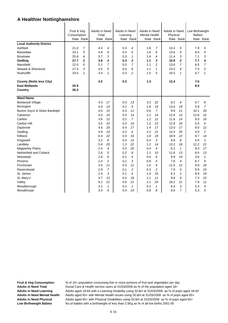|                                 | Fruit & Veg |                | Adults in Need |                | Adults in Need |                     | <b>Adults in Need</b> |                | Adults in Need |                | Low Birthweight |                |
|---------------------------------|-------------|----------------|----------------|----------------|----------------|---------------------|-----------------------|----------------|----------------|----------------|-----------------|----------------|
|                                 | Consumption |                | Total          |                | Learning       |                     | <b>Mental Health</b>  |                | Physical       |                | <b>Babies</b>   |                |
|                                 |             | Rate Rank      |                | Rate Rank      |                | Rate Rank           |                       | Rate Rank      |                | Rate Rank      |                 | Rate Rank      |
| <b>Local Authority District</b> |             |                |                |                |                |                     |                       |                |                |                |                 |                |
| Ashfield                        | 21.0        | 7              | 4.4            | 4              | 0.3            | 4                   | 1.8                   | 7              | 13.4           | 5              | 7.9             | 5              |
| <b>Bassetlaw</b>                | 23.1        | 5              | 4.8            | 6              | 0.4            | 5                   | 1.6                   | 6              | 13.6           | 6              | 8.0             | 6              |
| <b>Broxtowe</b>                 | 25.8        | 4              | 3.7            | 3              | 0.3            | $\mathbf{1}$        | 1.4                   | 4              | 11.4           | 3              | 7.1             | 3              |
| Gedling                         | 27.7        | $\overline{2}$ | 3.6            | $\overline{2}$ | 0.3            | 3<br>$\overline{7}$ | 1.1                   | 3              | 10.9           | 2              | 7.7             | 4              |
| Mansfield                       | 22.0        | 6              | 5.1            | $\overline{7}$ | 0.5            |                     | 1.1                   | 2              | 13.6           | 7              | 8.5             | $\overline{7}$ |
| Newark & Sherwood               | 27.4        | 3              | 4.5            | 5              | 0.4            | 6                   | 1.1                   | $\mathbf{1}$   | 13.2           | 4              | 7.0             | $\overline{c}$ |
| <b>Rushcliffe</b>               | 33.5        | $\mathbf{1}$   | 3.4            | $\mathbf{1}$   | 0.3            | 2                   | 1.5                   | 5              | 10.5           | 1              | 6.7             | $\mathbf{1}$   |
| <b>County (Notts less City)</b> |             |                | 4.2            |                | 0.3            |                     | 1.4                   |                | 12.4           |                | 7.6             |                |
| <b>East Midlands</b>            | 25.9        |                |                |                |                |                     |                       |                |                |                | 8.0             |                |
| Country                         | 26.3        |                |                |                |                |                     |                       |                |                |                |                 |                |
| <b>Ward Name</b>                |             |                |                |                |                |                     |                       |                |                |                |                 |                |
| <b>Bestwood Village</b>         |             |                | 4.3            | 17             | 0.3            | 13                  | 3.3                   | 22             | 8.2            | 6              | 6.7             | 8              |
| Bonington                       |             |                | 4.0            | 14             | 0.2            | 9                   | 1.8                   | 19             | 13.6           | 19             | 5.8             | $\overline{7}$ |
| Burton Joyce & Stoke Bardolph   |             |                | 4.0            | 15             | 0.3            | 11                  | 0.6                   | $\overline{7}$ | 9.9            | 11             | 10.1            | 20             |
| Calverton                       |             |                | 4.0            | 16             | 0.3            | 14                  | 1.2                   | 14             | 12.6           | 15             | 12.6            | 22             |
| Carlton                         |             |                | 3.6            | 12             | 0.2            | $\overline{7}$      | 1.2                   | 12             | 11.8           | 14             | 9.0             | 16             |
| <b>Carlton Hill</b>             |             |                | 3.5            | 10             | 0.3            | 10                  | 1.2                   | 13             | 12.8           | 16             | 5.5             | 6              |
| Daybrook                        |             |                | 4.6            | 18             | 0.4            | 17                  | 1.4                   | 17             | 13.0           | 17             | 8.0             | 12             |
| Gedling                         |             |                | 4.9            | 19             | 0.2            | 6                   | 2.2                   | 21             | 14.3           | 20             | 4.0             | 2              |
| Killisick                       |             |                | 6.4            | 22             | 0.3            | 16                  | 1.8                   | 18             | 18.9           | 22             | 8.7             | 14             |
| Kingswell                       |             |                | 3.2            | 8              | 0.3            | 15                  | 0.4                   | 3              | 9.0            | 8              | 5.0             | 3              |
| Lambley                         |             |                | 5.6            | 20             | 1.3            | 22                  | 1.2                   | 14             | 13.2           | 18             | 12.2            | 21             |
| <b>Mapperley Plains</b>         |             |                | 2.4            | $\overline{4}$ | 0.5            | 20                  | 0.4                   | $\overline{4}$ | 6.1            | $\mathbf{1}$   | 9.3             | 17             |
| Netherfield and Colwick         |             |                | 2.6            | 5              | 0.2            | 8                   | 1.1                   | 10             | 11.6           | 13             | 8.0             | 13             |
| Newstead                        |             |                | 2.8            | 6              | 0.1            | 4                   | 0.6                   | 6              | 9.9            | 10             | 3.6             | $\mathbf{1}$   |
| Phoenix                         |             |                | 2.4            | $\overline{c}$ | 0.1            | 3                   | 0.6                   | 5              | 7.6            | 4              | 6.7             | 9              |
| Porchester                      |             |                | 3.5            | 11             | 0.3            | 12                  | 1.0                   | 9              | 11.5           | 12             | 9.9             | 18             |
| Ravenshead                      |             |                | 2.9            | $\overline{7}$ | 0.1            | $\overline{c}$      | 0.3                   | $\overline{c}$ | 7.9            | 5              | 8.9             | 15             |
| St. James                       |             |                | 2.4            | 3              | 0.1            | 5                   | 1.4                   | 16             | 6.2            | $\overline{c}$ | 9.9             | 19             |
| St. Mary's                      |             |                | 3.7            | 13             | 0.4            | 18                  | 1.1                   | 11             | 9.8            | 9              | 7.3             | 10             |
| Valley                          |             |                | 6.1            | 21             | 0.6            | 21                  | 2.1                   | 20             | 18.2           | 21             | 7.9             | 11             |
| Woodborough                     |             |                | 2.1            | $\mathbf{1}$   | 0.1            | $\mathbf{1}$        | 0.2                   | $\mathcal I$   | 6.4            | 3              | 5.3             | 4              |
| Woodthorpe                      |             |                | 3.4            | 9              | 0.4            | 19                  | 0.8                   | 8              | 9.0            | $\overline{7}$ | 5.3             | 5              |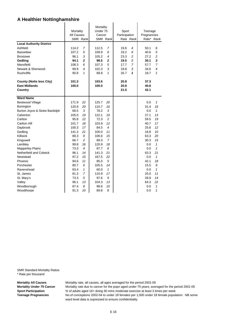|                                 |            | Mortality      |          |                |               |                |             |              |
|---------------------------------|------------|----------------|----------|----------------|---------------|----------------|-------------|--------------|
|                                 | Mortality  |                | Under 75 |                | Sport         |                | Teenage     |              |
|                                 | All Causes |                | Cancer   |                | Participation |                | Pregnancies |              |
|                                 |            | SMR Rank       |          | SMR Rank       |               | Rate Rank      | Rate*       | Rank         |
| <b>Local Authority District</b> |            |                |          |                |               |                |             |              |
| Ashfield                        | 114.2      | $\overline{7}$ | 112.5    | 7              | 19.6          | 4              | 50.1        | 6            |
| <b>Bassetlaw</b>                | 107.2      | 5              | 109.9    | 6              | 19.2          | 6              | 40.6        | 5            |
| <b>Broxtowe</b>                 | 96.1       | 3              | 105.2    | 4              | 23.3          | 2              | 27.2        | 2            |
| Gedling                         | 94.1       | 2              | 98.5     | 2              | 19.5          | 5              | 30.1        | 3            |
| Mansfield                       | 108.3      | 6              | 107.3    | 5              | 17.7          | $\overline{7}$ | 57.7        | 7            |
| Newark & Sherwood               | 99.9       | 4              | 102.3    | 3              | 19.8          | 3              | 34.6        | 4            |
| Rushcliffe                      | 90.8       | $\mathbf{1}$   | 89.8     | $\mathbf{1}$   | 26.7          | 1              | 18.7        | $\mathbf{1}$ |
|                                 |            |                |          |                |               |                |             |              |
| <b>County (Notts less City)</b> | 101.3      |                | 103.6    |                | 20.8          |                | 37.3        |              |
| <b>East Midlands</b>            | 100.0      |                | 100.0    |                | 20.8          |                | 40.8        |              |
| Country                         |            |                |          |                | 21.0          |                | 42.1        |              |
| <b>Ward Name</b>                |            |                |          |                |               |                |             |              |
| <b>Bestwood Village</b>         | 171.9      | 22             | 125.7    | 20             |               |                | 0.0         | $\mathbf{1}$ |
| Bonington                       | 120.9      | 20             | 110.7    | 16             |               |                | 31.4        | 16           |
| Burton Joyce & Stoke Bardolph   | 68.5       | 3              | 78.2     | 3              |               |                | 0.0         | $\mathbf{1}$ |
| Calverton                       | 105.0      | 19             | 122.1    | 19             |               |                | 27.1        | 13           |
| Carlton                         | 95.8       | 12             | 72.3     | $\overline{c}$ |               |                | 59.5        | 19           |
| <b>Carlton Hill</b>             | 101.7      | 18             | 103.9    | 12             |               |                | 40.7        | 17           |
| Daybrook                        | 100.3      | 17             | 84.5     | 4              |               |                | 25.6        | 12           |
| Gedling                         | 141.3      | 21             | 100.0    | 11             |               |                | 16.8        | 10           |
| Killisick                       | 88.3       | 9              | 106.6    | 15             |               |                | 63.3        | 20           |
| Kingswell                       | 66.7       | 2              | 89.3     | 7              |               |                | 30.3        | 15           |
| Lambley                         | 99.8       | 16             | 120.9    | 18             |               |                | 0.0         | 1            |
| <b>Mapperley Plains</b>         | 73.3       | 4              | 87.7     | 6              |               |                | 0.0         | 1            |
| Netherfield and Colwick         | 96.1       | 14             | 141.3    | 21             |               |                | 63.3        | 21           |
| Newstead                        | 97.2       | 15             | 167.5    | 22             |               |                | 0.0         | $\mathbf{1}$ |
| Phoenix                         | 94.6       | 11             | 85.0     | 5              |               |                | 42.1        | 18           |
| Porchester                      | 80.7       | 6              | 105.5    | 14             |               |                | 15.5        | 9            |
| Ravenshead                      | 63.4       | 1              | 60.0     | 1              |               |                | 0.0         | 1            |
| St. James                       | 81.3       | 7              | 110.9    | 17             |               |                | 25.0        | 11           |
| St. Mary's                      | 73.3       | 5              | 97.6     | 9              |               |                | 28.9        | 14           |
| Valley                          | 96.1       | 13             | 104.3    | 13             |               |                | 64.3        | 22           |
| Woodborough                     | 87.4       | 8              | 98.6     | 10             |               |                | 0.0         | $\mathbf{1}$ |
| Woodthorpe                      | 91.3       | 10             | 89.8     | 8              |               |                | 0.0         | 1            |

SMR Standard Mortality Ratios \* Rate per thousand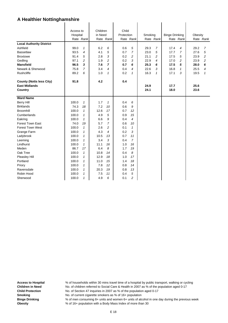|                                                         | Access to<br>Hospital | Rate Rank      |      | Children<br>in Need<br>Rate Rank |     | Child<br>Protection<br>Rate Rank |      | Smoking<br>Rate Rank |      | <b>Binge Drinking</b><br>Rate Rank |      | Obesity<br>Rate Rank |
|---------------------------------------------------------|-----------------------|----------------|------|----------------------------------|-----|----------------------------------|------|----------------------|------|------------------------------------|------|----------------------|
| <b>Local Authority District</b>                         |                       |                |      |                                  |     |                                  |      |                      |      |                                    |      |                      |
| Ashfield                                                | 99.0                  | $\mathbf{1}$   | 6.2  | 6                                | 0.6 | 5                                | 29.3 | 7                    | 17.4 | $\overline{4}$                     | 29.2 | $\overline{7}$       |
| <b>Bassetlaw</b>                                        | 93.5                  | 4              | 4.1  | 5                                | 0.7 | $\overline{7}$                   | 23.0 | 5                    | 17.7 | $\overline{7}$                     | 27.6 | 5                    |
| <b>Broxtowe</b>                                         | 91.4                  | 5              | 2.8  | 3                                | 0.2 | $\overline{c}$                   | 21.1 | $\overline{c}$       | 17.5 | 5                                  | 23.9 | $\overline{c}$       |
| Gedling                                                 | 97.1                  | 2              | 1.9  | $\overline{c}$                   | 0.2 | 3                                | 22.9 | 4                    | 17.0 | 2                                  | 23.9 | $\overline{c}$       |
| <b>Mansfield</b>                                        | 96.5                  | 3              | 7.6  | $\overline{7}$                   | 0.7 | 6                                | 25.3 | 6                    | 17.5 | 5                                  | 28.0 | 6                    |
| Newark & Sherwood                                       | 75.8                  | $\overline{7}$ | 3.4  | 4                                | 0.4 | $\overline{4}$                   | 22.6 | 3                    | 16.8 | $\mathbf{1}$                       | 25.5 | 4                    |
| Rushcliffe                                              | 89.2                  | 6              | 1.0  | 1                                | 0.2 | $\mathbf{1}$                     | 16.3 | $\mathbf{1}$         | 17.1 | 3                                  | 19.5 | $\mathbf{1}$         |
| <b>County (Notts less City)</b><br><b>East Midlands</b> | 91.8                  |                | 4.2  |                                  | 0.4 |                                  | 24.9 |                      | 17.7 |                                    | 25.6 |                      |
| Country                                                 |                       |                |      |                                  |     |                                  | 24.1 |                      | 18.0 |                                    | 23.6 |                      |
| <b>Ward Name</b>                                        |                       |                |      |                                  |     |                                  |      |                      |      |                                    |      |                      |
| <b>Berry Hill</b>                                       | 100.0                 | $\mathbf{1}$   | 1.7  | $\mathbf{1}$                     | 0.4 | 6                                |      |                      |      |                                    |      |                      |
| <b>Birklands</b>                                        | 74.3                  | 18             | 7.2  | 10                               | 0.6 | 9                                |      |                      |      |                                    |      |                      |
| <b>Broomhill</b>                                        | 100.0                 | $\mathbf{1}$   | 12.6 | 17                               | 0.7 | 12                               |      |                      |      |                                    |      |                      |
| Cumberlands                                             | 100.0                 | $\mathbf{1}$   | 4.9  | 5                                | 0.9 | 15                               |      |                      |      |                                    |      |                      |
| Eakring                                                 | 100.0                 | $\mathbf{1}$   | 6.6  | 9                                | 0.4 | $\overline{4}$                   |      |                      |      |                                    |      |                      |
| <b>Forest Town East</b>                                 | 74.0                  | 19             | 5.7  | $\overline{7}$                   | 0.6 | 10                               |      |                      |      |                                    |      |                      |
| <b>Forest Town West</b>                                 | 100.0                 | $\mathbf{1}$   | 2.6  | $\overline{c}$                   | 0.1 | $\mathbf{1}$                     |      |                      |      |                                    |      |                      |
| Grange Farm                                             | 100.0                 | $\mathcal I$   | 4.3  | $\overline{\mathcal{A}}$         | 0.2 | 3                                |      |                      |      |                                    |      |                      |
| Ladybrook                                               | 100.0                 | $\mathcal I$   | 10.5 | 13                               | 0.7 | 11                               |      |                      |      |                                    |      |                      |
| Leeming                                                 | 100.0                 | $\mathbf{1}$   | 3.4  | 3                                | 0.4 | $\overline{7}$                   |      |                      |      |                                    |      |                      |
| Lindhurst                                               | 100.0                 | $\mathbf{1}$   | 11.1 | 16                               | 1.0 | 16                               |      |                      |      |                                    |      |                      |
| Meden                                                   | 86.7                  | 17             | 6.4  | 8                                | 1.7 | 19                               |      |                      |      |                                    |      |                      |
| Oak Tree                                                | 100.0                 | $\mathbf{1}$   | 10.8 | 14                               | 0.4 | 8                                |      |                      |      |                                    |      |                      |
| Pleasley Hill                                           | 100.0                 | $\mathbf{1}$   | 12.9 | 18                               | 1.0 | 17                               |      |                      |      |                                    |      |                      |
| Portland                                                | 100.0                 | $\mathbf{1}$   | 11.0 | 15                               | 1.4 | 18                               |      |                      |      |                                    |      |                      |
| Priory                                                  | 100.0                 | $\mathbf{1}$   | 7.8  | 12                               | 0.8 | 14                               |      |                      |      |                                    |      |                      |
| Ravensdale                                              | 100.0                 | $\mathbf{1}$   | 20.3 | 19                               | 0.8 | 13                               |      |                      |      |                                    |      |                      |
| Robin Hood                                              | 100.0                 | $\mathcal I$   | 7.5  | 11                               | 0.4 | 5                                |      |                      |      |                                    |      |                      |
| Sherwood                                                | 100.0                 | 1              | 4.9  | 6                                | 0.1 | 2                                |      |                      |      |                                    |      |                      |

**Access to Hospital** % of households within 30 mins travel time of a hospital by public transport, walking or cycling **Children in Need** No. of children referred to Social Care & Health in 2007 as % of the population aged 0-17 **Child Protection** No. of Section 47 inquiries in 2007 as % of the population aged 0-17 **Smoking** No. of current cigarette smokers as % of 16+ population

**Binge Drinking** % of men consuming 8+ units and women 6+ units of alcohol in one day during the previous week **Obesity** 8 Mbostow 60 Mbostow 60 Mbostow 616+ population with a Body Mass Index of more than 30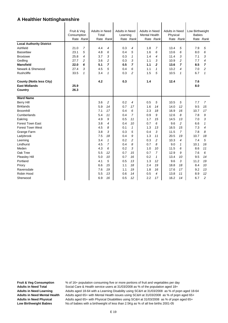|                                 | Fruit & Veg<br>Consumption |                |     | Adults in Need<br>Total<br>Rate Rank |     | Adults in Need<br>Learning |     | Adults in Need<br><b>Mental Health</b> |      | Adults in Need<br>Physical |      | Low Birthweight<br><b>Babies</b> |
|---------------------------------|----------------------------|----------------|-----|--------------------------------------|-----|----------------------------|-----|----------------------------------------|------|----------------------------|------|----------------------------------|
|                                 |                            | Rate Rank      |     |                                      |     | Rate Rank                  |     | Rate Rank                              |      | Rate Rank                  |      | Rate Rank                        |
| <b>Local Authority District</b> |                            |                |     |                                      |     |                            |     |                                        |      |                            |      |                                  |
| Ashfield                        | 21.0                       | $\overline{7}$ | 4.4 | 4                                    | 0.3 | 4                          | 1.8 | $\overline{7}$                         | 13.4 | 5                          | 7.9  | 5                                |
| <b>Bassetlaw</b>                | 23.1                       | 5              | 4.8 | 6                                    | 0.4 | 5                          | 1.6 | 6                                      | 13.6 | 6                          | 8.0  | 6                                |
| <b>Broxtowe</b>                 | 25.8                       | 4              | 3.7 | 3                                    | 0.3 | $\mathbf{1}$               | 1.4 | 4                                      | 11.4 | 3                          | 7.1  | 3                                |
| Gedling                         | 27.7                       | 2              | 3.6 | $\overline{c}$                       | 0.3 | 3                          | 1.1 | 3                                      | 10.9 | $\overline{c}$             | 7.7  | 4                                |
| <b>Mansfield</b>                | 22.0                       | 6              | 5.1 | $\overline{7}$                       | 0.5 | $\overline{ }$             | 1.1 | $\overline{2}$                         | 13.6 | 7                          | 8.5  | $\overline{ }$                   |
| Newark & Sherwood               | 27.4                       | 3              | 4.5 | 5                                    | 0.4 | 6                          | 1.1 | 1                                      | 13.2 | 4                          | 7.0  | $\overline{c}$                   |
| Rushcliffe                      | 33.5                       | $\mathbf{1}$   | 3.4 | 1                                    | 0.3 | 2                          | 1.5 | 5                                      | 10.5 | 1                          | 6.7  | $\mathbf{1}$                     |
| <b>County (Notts less City)</b> |                            |                | 4.2 |                                      | 0.3 |                            | 1.4 |                                        | 12.4 |                            | 7.6  |                                  |
| <b>East Midlands</b>            | 25.9                       |                |     |                                      |     |                            |     |                                        |      |                            | 8.0  |                                  |
| Country                         | 26.3                       |                |     |                                      |     |                            |     |                                        |      |                            |      |                                  |
| <b>Ward Name</b>                |                            |                |     |                                      |     |                            |     |                                        |      |                            |      |                                  |
| <b>Berry Hill</b>               |                            |                | 3.6 | 2                                    | 0.2 | 4                          | 0.5 | 5                                      | 10.5 | 5                          | 7.7  | 7                                |
| <b>Birklands</b>                |                            |                | 5.9 | 14                                   | 0.7 | 17                         | 1.6 | 14                                     | 14.0 | 12                         | 9.5  | 15                               |
| <b>Broomhill</b>                |                            |                | 7.1 | 17                                   | 0.4 | 6                          | 2.3 | 18                                     | 16.9 | 16                         | 10.7 | 17                               |
| Cumberlands                     |                            |                | 5.4 | 11                                   | 0.4 | $\overline{7}$             | 0.9 | 9                                      | 12.6 | 8                          | 7.8  | 9                                |
| Eakring                         |                            |                | 4.9 | 9                                    | 0.5 | 11                         | 1.7 | 15                                     | 14.5 | 13                         | 7.0  | 3                                |
| <b>Forest Town East</b>         |                            |                | 3.8 | 4                                    | 0.4 | 10                         | 0.7 | 6                                      | 9.6  | $\overline{c}$             | 6.6  | $\mathbf{1}$                     |
| <b>Forest Town West</b>         |                            |                | 4.5 | 8                                    | 0.1 | $\mathbf{1}$               | 1.3 | 13                                     | 16.5 | 15                         | 7.3  | 4                                |
| Grange Farm                     |                            |                | 3.8 | 3                                    | 0.3 | 5                          | 0.4 | 3                                      | 11.5 | $\overline{7}$             | 7.8  | 8                                |
| Ladybrook                       |                            |                | 7.5 | 18                                   | 0.4 | 9                          | 1.3 | 11                                     | 20.5 | 19                         | 10.7 | 18                               |
| Leeming                         |                            |                | 3.4 | $\mathbf{1}$                         | 0.2 | 2                          | 0.3 | $\overline{c}$                         | 10.3 | 4                          | 7.4  | 5                                |
| Lindhurst                       |                            |                | 4.5 | $\overline{7}$                       | 0.4 | 8                          | 0.7 | 8                                      | 9.0  | $\mathbf{1}$               | 10.1 | 16                               |
| Meden                           |                            |                | 4.3 | 6                                    | 0.2 | 3                          | 1.0 | 10                                     | 11.5 | 6                          | 8.6  | 11                               |
| Oak Tree                        |                            |                | 5.5 | 12                                   | 0.7 | 15                         | 0.7 | $\overline{7}$                         | 12.9 | 9                          | 7.6  | 6                                |
| Pleasley Hill                   |                            |                | 5.0 | 10                                   | 0.7 | 16                         | 0.2 | $\mathcal I$                           | 13.4 | 10                         | 9.5  | 14                               |
| Portland                        |                            |                | 4.1 | 5                                    | 0.5 | 13                         | 1.3 | 12                                     | 9.6  | 3                          | 11.2 | 19                               |
| Priory                          |                            |                | 6.6 | 15                                   | 1.1 | 18                         | 2.4 | 19                                     | 18.8 | 18                         | 8.4  | 10                               |
| Ravensdale                      |                            |                | 7.6 | 19                                   | 1.1 | 19                         | 1.8 | 16                                     | 17.6 | 17                         | 9.2  | 13                               |
| Robin Hood                      |                            |                | 5.5 | 13                                   | 0.6 | 14                         | 0.5 | $\overline{4}$                         | 13.8 | 11                         | 8.9  | 12                               |
| Sherwood                        |                            |                | 6.9 | 16                                   | 0.5 | 12                         | 2.2 | 17                                     | 16.2 | 14                         | 6.7  | 2                                |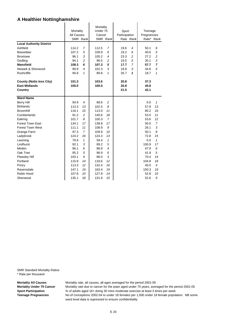|                                 |                   |                | Mortality |                          |               |                |             |                |
|---------------------------------|-------------------|----------------|-----------|--------------------------|---------------|----------------|-------------|----------------|
|                                 | Mortality         |                | Under 75  |                          | Sport         |                | Teenage     |                |
|                                 | <b>All Causes</b> |                | Cancer    |                          | Participation |                | Pregnancies |                |
|                                 |                   | SMR Rank       |           | SMR Rank                 |               | Rate Rank      | Rate* Rank  |                |
| <b>Local Authority District</b> |                   |                |           |                          |               |                |             |                |
| Ashfield                        | 114.2             | $\overline{7}$ | 112.5     | $\overline{7}$           | 19.6          | 4              | 50.1        | 6              |
| <b>Bassetlaw</b>                | 107.2             | 5              | 109.9     | 6                        | 19.2          | 6              | 40.6        | 5              |
| <b>Broxtowe</b>                 | 96.1              | 3              | 105.2     | $\overline{\mathcal{A}}$ | 23.3          | $\overline{c}$ | 27.2        | $\overline{c}$ |
| Gedling                         | 94.1              | $\overline{c}$ | 98.5      | $\overline{c}$           | 19.5          | 5              | 30.1        | 3              |
| <b>Mansfield</b>                | 108.3             | 6              | 107.3     | 5                        | 17.7          | $\overline{7}$ | 57.7        | 7              |
| Newark & Sherwood               | 99.9              | 4              | 102.3     | 3                        | 19.8          | 3              | 34.6        | 4              |
| <b>Rushcliffe</b>               | 90.8              | $\mathbf{1}$   | 89.8      | $\mathbf{1}$             | 26.7          | 1              | 18.7        | 1              |
|                                 |                   |                |           |                          |               |                |             |                |
| <b>County (Notts less City)</b> | 101.3             |                | 103.6     |                          | 20.8          |                | 37.3        |                |
| <b>East Midlands</b>            | 100.0             |                | 100.0     |                          | 20.8          |                | 40.8        |                |
| Country                         |                   |                |           |                          | 21.0          |                | 42.1        |                |
| <b>Ward Name</b>                |                   |                |           |                          |               |                |             |                |
| <b>Berry Hill</b>               | 94.9              | 4              | 68.6      | 2                        |               |                | 0.0         | 1              |
| <b>Birklands</b>                | 113.3             | 13             | 102.5     | 8                        |               |                | 57.9        | 13             |
| <b>Broomhill</b>                | 116.1             | 15             | 113.0     | 11                       |               |                | 80.2        | 16             |
| Cumberlands                     | 91.2              | $\overline{a}$ | 140.6     | 18                       |               |                | 53.0        | 11             |
| Eakring                         | 101.7             | 8              | 100.3     | $\overline{7}$           |               |                | 53.6        | 12             |
| <b>Forest Town East</b>         | 134.1             | 17             | 139.8     | 17                       |               |                | 50.0        | $\overline{7}$ |
| <b>Forest Town West</b>         | 111.1             | 11             | 108.9     | 9                        |               |                | 26.1        | 3              |
| Grange Farm                     | 97.3              | $\overline{7}$ | 109.9     | 10                       |               |                | 50.1        | 8              |
| Ladybrook                       | 124.2             | 16             | 124.3     | 13                       |               |                | 72.8        | 15             |
| Leeming                         | 79.9              | $\mathbf{1}$   | 59.4      | $\mathbf{1}$             |               |                | 0.0         | 1              |
| Lindhurst                       | 92.1              | 3              | 89.2      | 5                        |               |                | 100.9       | 17             |
| Meden                           | 96.1              | 6              | 88.9      | 4                        |               |                | 47.9        | 6              |
| Oak Tree                        | 95.2              | 5              | 96.9      | 6                        |               |                | 41.9        | 5              |
| Pleasley Hill                   | 103.1             | 9              | 88.0      | 3                        |               |                | 70.4        | 14             |
| Portland                        | 115.8             | 14             | 118.6     | 12                       |               |                | 104.8       | 18             |
| Priory                          | 113.3             | 12             | 132.4     | 16                       |               |                | 40.0        | 4              |
| Ravensdale                      | 147.1             | 19             | 163.4     | 19                       |               |                | 150.3       | 19             |
| Robin Hood                      | 107.8             | 10             | 127.8     | 14                       |               |                | 52.8        | 10             |
| Sherwood                        | 135.1             | 18             | 131.9     | 15                       |               |                | 52.6        | 9              |

SMR Standard Mortality Ratios \* Rate per thousand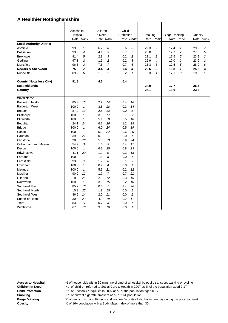|                                 | Access to             | Children              | Child                 |                        |                       |                        |  |
|---------------------------------|-----------------------|-----------------------|-----------------------|------------------------|-----------------------|------------------------|--|
|                                 | Hospital              | in Need               | Protection            | Smoking                | <b>Binge Drinking</b> | Obesity                |  |
|                                 | Rate Rank             | Rate Rank             | Rate Rank             | Rate Rank              | Rate Rank             | Rate Rank              |  |
| <b>Local Authority District</b> |                       |                       |                       |                        |                       |                        |  |
| Ashfield                        | 99.0<br>$\mathcal I$  | 6.2<br>6              | 0.6<br>5              | 29.3<br>$\overline{7}$ | 17.4<br>4             | 29.2<br>$\overline{7}$ |  |
| <b>Bassetlaw</b>                | 93.5<br>4             | 4.1<br>5              | 0.7<br>$\overline{7}$ | 5<br>23.0              | 7<br>17.7             | 27.6<br>5              |  |
| <b>Broxtowe</b>                 | 91.4<br>5             | 3<br>2.8              | 0.2<br>$\overline{c}$ | $\overline{c}$<br>21.1 | 17.5<br>5             | 23.9<br>$\overline{c}$ |  |
| Gedling                         | 2<br>97.1             | $\overline{c}$<br>1.9 | 3<br>0.2              | 22.9<br>$\overline{4}$ | 17.0<br>2             | $\overline{c}$<br>23.9 |  |
| Mansfield                       | 3<br>96.5             | 7<br>7.6              | 0.7<br>6              | 25.3<br>6              | 17.5<br>5             | 28.0<br>6              |  |
| <b>Newark &amp; Sherwood</b>    | 75.8<br>7             | 3.4<br>4              | 0.4<br>4              | 22.6<br>3              | 16.8<br>1             | 25.5<br>4              |  |
| <b>Rushcliffe</b>               | 6<br>89.2             | $\mathcal I$<br>1.0   | 0.2<br>$\mathbf{1}$   | $\mathbf{1}$<br>16.3   | 3<br>17.1             | 19.5<br>$\mathbf{1}$   |  |
|                                 |                       |                       |                       |                        |                       |                        |  |
| <b>County (Notts less City)</b> | 91.8                  | 4.2                   | 0.4                   |                        |                       |                        |  |
| <b>East Midlands</b>            |                       |                       |                       | 24.9                   | 17.7                  | 25.6                   |  |
| Country                         |                       |                       |                       | 24.1                   | 18.0                  | 23.6                   |  |
|                                 |                       |                       |                       |                        |                       |                        |  |
| <b>Ward Name</b>                |                       |                       |                       |                        |                       |                        |  |
| <b>Balderton North</b>          | 85.3<br>15            | 2.9<br>14             | 0.4<br>16             |                        |                       |                        |  |
| <b>Balderton West</b>           | 100.0<br>$\mathbf{1}$ | 3.8<br>18             | 0.3<br>14             |                        |                       |                        |  |
| Beacon                          | 13<br>87.2            | 2.8<br>13             | $\mathbf{1}$<br>0.0   |                        |                       |                        |  |
| <b>Bilsthorpe</b>               | 100.0<br>$\mathbf{1}$ | 3.5<br>17             | 0.7<br>22             |                        |                       |                        |  |
| <b>Blidworth</b>                | 100.0<br>$\mathcal I$ | 5.1<br>20             | 0.5<br>18             |                        |                       |                        |  |
| Boughton                        | 24.1<br>24            | 26<br>6.7             | 1.2<br>25             |                        |                       |                        |  |
| <b>Bridge</b>                   | $\mathcal I$<br>100.0 | 6.0<br>24             | 0.5<br>19             |                        |                       |                        |  |
| Castle                          | 100.0<br>$\mathbf{1}$ | 22<br>5.3             | 0.6<br>20             |                        |                       |                        |  |
| Caunton                         | 21<br>39.0            | $\mathbf{1}$<br>0.0   | $\mathbf{1}$<br>0.0   |                        |                       |                        |  |
| Clipstone                       | 28.0<br>23            | 5.8<br>23             | 0.9<br>24             |                        |                       |                        |  |
| Collingham and Meering          | 19<br>54.9            | 5<br>1.0              | 0.4<br>17             |                        |                       |                        |  |
| Devon                           | $\mathbf{1}$<br>100.0 | 6.3<br>25             | 0.8<br>23             |                        |                       |                        |  |
| Edwinstowe                      | 41.1<br>20            | 1.9<br>9              | 0.3<br>13             |                        |                       |                        |  |
| Farndon                         | 100.0<br>$\mathbf{1}$ | 1.8<br>8              | 0.0<br>$\mathbf{1}$   |                        |                       |                        |  |
| Farnsfield                      | 93.6<br>11            | 6<br>1.7              | 9<br>0.1              |                        |                       |                        |  |
| Lowdham                         | $\mathcal I$<br>100.0 | 0.9<br>$\overline{4}$ | 0.0<br>$\mathbf{1}$   |                        |                       |                        |  |
| Magnus                          | 100.0<br>$\mathcal I$ | 5.3<br>21             | 0.2<br>12             |                        |                       |                        |  |
| Muskham                         | 12<br>90.0            | $\overline{7}$<br>1.7 | 0.7<br>21             |                        |                       |                        |  |
| Ollerton                        | 8.0<br>26             | 2.5<br>12             | 0.3<br>15             |                        |                       |                        |  |
| Rainworth                       | $\mathbf{1}$<br>100.0 | 15<br>3.0             | 0.2<br>10             |                        |                       |                        |  |
| Southwell East                  | 85.2<br>16            | $\mathbf{1}$<br>0.0   | 1.4<br>26             |                        |                       |                        |  |
| Southwell North                 | 15.9<br>25            | 1.9<br>10             | 0.0<br>1              |                        |                       |                        |  |
| Southwell West                  | 86.6<br>14            | 2.0<br>11             | 0.0<br>$\mathbf{1}$   |                        |                       |                        |  |
| Sutton-on-Trent                 | 30.4<br>22            | 4.9<br>19             | 0.2<br>11             |                        |                       |                        |  |
| Trent                           | 83.9<br>17            | 0.7<br>3              | 0.0<br>1              |                        |                       |                        |  |
| Winthorpe                       | 67.3<br>18            | 3.3<br>16             | 0.0<br>1              |                        |                       |                        |  |

Access to Hospital **600 %** of households within 30 mins travel time of a hospital by public transport, walking or cycling **Children in Need** No. of children referred to Social Care & Health in 2007 as % of the population aged 0-17 **Child Protection** No. of Section 47 inquiries in 2007 as % of the population aged 0-17 **Smoking** No. of current cigarette smokers as % of 16+ population

**Binge Drinking** % of men consuming 8+ units and women 6+ units of alcohol in one day during the previous week **Obesity** 8 Mbostow 60 Mbostow 60 Mbostow 60 Mbostow 60 Mbostow 60 Mbostow 60 Mbostow 60 Mbostow 60 Mbostow 60 Mbostow 60 Mbostow 60 Mbostow 60 Mbostow 60 Mbostow 60 Mbostow 60 Mbostow 60 Mbostow 60 Mbostow 60 Mbostow 60 M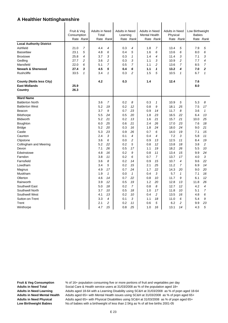|                                 |      | Fruit & Veg<br>Consumption |     | Adults in Need<br>Total |     | <b>Adults in Need</b><br>Learning |     | <b>Adults in Need</b><br><b>Mental Health</b> |      | <b>Adults in Need</b><br>Physical<br>Rate Rank |      | Low Birthweight<br><b>Babies</b> |
|---------------------------------|------|----------------------------|-----|-------------------------|-----|-----------------------------------|-----|-----------------------------------------------|------|------------------------------------------------|------|----------------------------------|
|                                 |      | Rate Rank                  |     | Rate Rank               |     | Rate Rank                         |     | Rate Rank                                     |      |                                                |      | Rate Rank                        |
| <b>Local Authority District</b> |      |                            |     |                         |     |                                   |     |                                               |      |                                                |      |                                  |
| Ashfield                        | 21.0 | $\overline{7}$             | 4.4 | 4                       | 0.3 | $\overline{4}$                    | 1.8 | $\overline{7}$                                | 13.4 | 5                                              | 7.9  | 5                                |
| <b>Bassetlaw</b>                | 23.1 | 5                          | 4.8 | 6                       | 0.4 | 5                                 | 1.6 | 6                                             | 13.6 | 6                                              | 8.0  | 6                                |
| <b>Broxtowe</b>                 | 25.8 | 4                          | 3.7 | 3                       | 0.3 | $\mathbf{1}$                      | 1.4 | 4                                             | 11.4 | 3                                              | 7.1  | 3                                |
| Gedling                         | 27.7 | $\overline{c}$             | 3.6 | $\overline{c}$          | 0.3 | 3                                 | 1.1 | 3                                             | 10.9 | $\overline{c}$                                 | 7.7  | 4                                |
| Mansfield                       | 22.0 | 6                          | 5.1 | 7                       | 0.5 | 7                                 | 1.1 | $\overline{c}$                                | 13.6 | 7                                              | 8.5  | $\overline{7}$                   |
| <b>Newark &amp; Sherwood</b>    | 27.4 | 3                          | 4.5 | 5                       | 0.4 | 6                                 | 1.1 | 1                                             | 13.2 | 4                                              | 7.0  | $\overline{2}$                   |
| <b>Rushcliffe</b>               | 33.5 | $\mathbf{1}$               | 3.4 | $\mathbf{1}$            | 0.3 | 2                                 | 1.5 | 5                                             | 10.5 | $\mathcal I$                                   | 6.7  | $\mathbf{1}$                     |
| <b>County (Notts less City)</b> |      |                            | 4.2 |                         | 0.3 |                                   | 1.4 |                                               | 12.4 |                                                | 7.6  |                                  |
| <b>East Midlands</b>            | 25.9 |                            |     |                         |     |                                   |     |                                               |      |                                                | 8.0  |                                  |
| Country                         | 26.3 |                            |     |                         |     |                                   |     |                                               |      |                                                |      |                                  |
| <b>Ward Name</b>                |      |                            |     |                         |     |                                   |     |                                               |      |                                                |      |                                  |
| <b>Balderton North</b>          |      |                            | 3.6 | 7                       | 0.2 | 8                                 | 0.3 | $\boldsymbol{\mathcal{I}}$                    | 10.9 | 5                                              | 5.3  | 8                                |
| <b>Balderton West</b>           |      |                            | 5.2 | 19                      | 0.2 | 12                                | 0.8 | 9                                             | 18.1 | 25                                             | 7.5  | 17                               |
| Beacon                          |      |                            | 3.7 | 9                       | 0.7 | 23                                | 0.9 | 14                                            | 11.7 | 8                                              | 3.6  | $\mathbf{1}$                     |
| <b>Bilsthorpe</b>               |      |                            | 5.5 | 24                      | 0.5 | 20                                | 1.8 | 23                                            | 16.5 | 22                                             | 6.4  | 13                               |
| <b>Blidworth</b>                |      |                            | 5.2 | 21                      | 0.2 | 13                                | 1.6 | 21                                            | 15.7 | 21                                             | 10.0 | 25                               |
| Boughton                        |      |                            | 6.0 | 25                      | 0.6 | 21                                | 2.4 | 26                                            | 17.0 | 23                                             | 7.6  | 18                               |
| <b>Bridge</b>                   |      |                            | 5.2 | 20                      | 0.3 | 16                                | 1.8 | 24                                            | 18.0 | 24                                             | 9.0  | 21                               |
| Castle                          |      |                            | 5.3 | 23                      | 0.9 | 26                                | 0.7 | 6                                             | 14.0 | 19                                             | 7.1  | 15                               |
| Caunton                         |      |                            | 2.4 | 3                       | 0.1 | $\overline{4}$                    | 0.4 | $\overline{4}$                                | 7.2  | 3                                              | 5.8  | 11                               |
| Clipstone                       |      |                            | 3.6 | 6                       | 0.0 | 2                                 | 0.9 | 13                                            | 12.5 | 11                                             | 8.4  | 19                               |
| Collingham and Meering          |      |                            | 5.2 | 22                      | 0.2 | 5                                 | 0.8 | 12                                            | 13.8 | 18                                             | 3.8  | $\overline{c}$                   |
| Devon                           |      |                            | 7.1 | 26                      | 0.5 | 17                                | 1.1 | 19                                            | 18.2 | 26                                             | 5.5  | 10                               |
| Edwinstowe                      |      |                            | 4.8 | 16                      | 0.2 | 9                                 | 0.8 | 11                                            | 13.4 | 15                                             | 9.9  | 24                               |
| Farndon                         |      |                            | 3.8 | 11                      | 0.2 | 6                                 | 0.7 | $\overline{7}$                                | 13.7 | 17                                             | 4.0  | 3                                |
| Farnsfield                      |      |                            | 3.6 | 8                       | 0.2 | 14                                | 0.9 | 15                                            | 10.7 | 4                                              | 9.6  | 22                               |
| Lowdham                         |      |                            | 3.4 | 5                       | 0.2 | 15                                | 2.1 | 25                                            | 11.2 | 7                                              | 6.9  | 14                               |
| Magnus                          |      |                            | 4.9 | 17                      | 0.7 | 24                                | 1.7 | 22                                            | 14.3 | 20                                             | 9.0  | 20                               |
| Muskham                         |      |                            | 1.9 | $\mathbf{1}$            | 0.0 | $\mathbf{1}$                      | 0.4 | 3                                             | 5.7  | $\mathbf{1}$                                   | 7.1  | 16                               |
| Ollerton                        |      |                            | 4.6 | 14                      | 0.7 | 22                                | 0.8 | 10                                            | 11.7 | 9                                              | 6.1  | 12                               |
| Rainworth                       |      |                            | 3.9 | 12                      | 0.5 | 19                                | 1.2 | 20                                            | 12.8 | 13                                             | 11.8 | 26                               |
| Southwell East                  |      |                            | 5.0 | 18                      | 0.2 | 7                                 | 0.8 | 8                                             | 12.7 | 12                                             | 4.2  | 4                                |
| Southwell North                 |      |                            | 3.7 | 10                      | 0.5 | 18                                | 1.0 | 17                                            | 11.8 | 10                                             | 5.1  | $\overline{7}$                   |
| Southwell West                  |      |                            | 4.1 | 13                      | 0.2 | 10                                | 0.4 | $\overline{c}$                                | 13.5 | 16                                             | 4.8  | 6                                |
| Sutton-on-Trent                 |      |                            | 3.3 | 4                       | 0.1 | 3                                 | 1.1 | 18                                            | 11.0 | 6                                              | 5.4  | 9                                |
| Trent                           |      |                            | 2.1 | $\overline{c}$          | 0.2 | 11                                | 0.6 | 5                                             | 6.2  | 2                                              | 9.9  | 23                               |
| Winthorpe                       |      |                            | 4.7 | 15                      | 0.8 | 25                                | 1.0 | 16                                            | 13.1 | 14                                             | 4.3  | 5                                |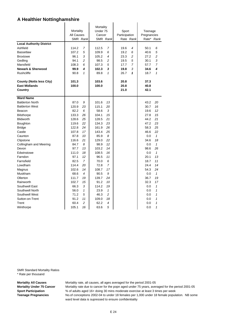|                                 | Mortality<br><b>All Causes</b><br>SMR Rank | Mortality<br>Under 75<br>Cancer<br>SMR Rank | Sport<br>Participation<br>Rate Rank | Teenage<br>Pregnancies<br>Rate* <i>Rank</i> |
|---------------------------------|--------------------------------------------|---------------------------------------------|-------------------------------------|---------------------------------------------|
| <b>Local Authority District</b> |                                            |                                             |                                     |                                             |
| Ashfield                        | 114.2<br>7                                 | 112.5<br>7                                  | 19.6<br>$\overline{4}$              | 50.1<br>6                                   |
| <b>Bassetlaw</b>                | 107.2<br>5                                 | 109.9<br>6                                  | 19.2<br>6                           | 5<br>40.6                                   |
| <b>Broxtowe</b>                 | 3<br>96.1                                  | 105.2<br>4                                  | 23.3<br>2                           | $\overline{c}$<br>27.2                      |
| Gedling                         | 94.1<br>2                                  | 98.5<br>2                                   | 5<br>19.5                           | 3<br>30.1                                   |
| Mansfield                       | 108.3<br>6                                 | 107.3<br>5                                  | 17.7<br>$\overline{7}$              | 57.7<br>7                                   |
| <b>Newark &amp; Sherwood</b>    | 99.9<br>4                                  | 3<br>102.3                                  | 3<br>19.8                           | 34.6<br>4                                   |
| <b>Rushcliffe</b>               | $\mathbf{1}$<br>90.8                       | $\mathbf{1}$<br>89.8                        | 26.7<br>1                           | $\mathbf{1}$<br>18.7                        |
|                                 |                                            |                                             |                                     |                                             |
| <b>County (Notts less City)</b> | 101.3                                      | 103.6                                       | 20.8                                | 37.3                                        |
| <b>East Midlands</b>            | 100.0                                      | 100.0                                       | 20.8                                | 40.8                                        |
| Country                         |                                            |                                             | 21.0                                | 42.1                                        |
|                                 |                                            |                                             |                                     |                                             |
| <b>Ward Name</b>                |                                            |                                             |                                     |                                             |
| <b>Balderton North</b>          | 87.0<br>9                                  | 101.6<br>13                                 |                                     | 43.2<br>20                                  |
| <b>Balderton West</b>           | 23<br>120.9                                | 115.1<br>20                                 |                                     | 30.7<br>16                                  |
| Beacon                          | 82.2<br>6                                  | 58.6<br>3                                   |                                     | 19.6<br>12                                  |
| <b>Bilsthorpe</b>               | 133.3<br>26                                | 15<br>104.1                                 |                                     | 27.8<br>15                                  |
| Blidworth                       | 25<br>128.6                                | 21<br>128.5                                 |                                     | 21<br>44.2                                  |
| Boughton                        | 119.6<br>22                                | 134.3<br>23                                 |                                     | 47.2<br>23                                  |
| <b>Bridge</b>                   | 24<br>122.8                                | 161.9<br>26                                 |                                     | 25<br>58.3                                  |
| Castle                          | 17<br>107.8                                | 143.4<br>25                                 |                                     | 22<br>46.6                                  |
| Caunton                         | 87.8<br>10                                 | 85.9<br>8                                   |                                     | 0.0<br>$\mathbf{1}$                         |
| Clipstone                       | 21<br>116.6                                | 22<br>129.0                                 |                                     | 18<br>34.6                                  |
| Collingham and Meering          | 84.7<br>8                                  | 12<br>98.9                                  |                                     | 0.0<br>1                                    |
| Devon                           | 97.7<br>13                                 | 103.2<br>14                                 |                                     | 98.6<br>26                                  |
| Edwinstowe                      | 18<br>111.0                                | 108.5<br>16                                 |                                     | $\mathbf{1}$<br>0.0                         |
| Farndon                         | 12<br>97.1                                 | 11<br>96.5                                  |                                     | 13<br>20.1                                  |
| Farnsfield                      | 82.5<br>$\overline{7}$                     | 70.0<br>6                                   |                                     | 18.7<br>11                                  |
| Lowdham                         | 114.4<br>20                                | 72.8<br>$\overline{7}$                      |                                     | 24.4<br>14                                  |
| Magnus                          | 102.6<br>14                                | 17<br>108.7                                 |                                     | 24<br>54.3                                  |
| Muskham                         | 4<br>68.6                                  | 90.5<br>9                                   |                                     | $\mathbf{1}$<br>0.0                         |
| Ollerton                        | 111.7<br>19                                | 139.7<br>24                                 |                                     | 36.7<br>19                                  |
| Rainworth                       | 102.7<br>15                                | 91.2<br>10                                  |                                     | 32.3<br>17                                  |
| Southwell East                  | 3<br>66.3                                  | 114.2<br>19                                 |                                     | $\mathbf{1}$<br>0.0                         |
| Southwell North                 | 56.0<br>$\mathbf{1}$                       | 23.9<br>$\mathbf{1}$                        |                                     | 0.0<br>1                                    |
| Southwell West                  | 5<br>71.2                                  | $\overline{c}$<br>46.3                      |                                     | 1<br>0.0                                    |
| Sutton-on-Trent                 | 91.2<br>11                                 | 109.0<br>18                                 |                                     | $\mathbf{1}$<br>0.0                         |
| Trent                           | $\overline{a}$<br>60.4                     | 4<br>62.2                                   |                                     | 1<br>0.0                                    |
| Winthorpe                       | 105.1<br>16                                | 63.6<br>5                                   |                                     | 0.0<br>1                                    |

SMR Standard Mortality Ratios \* Rate per thousand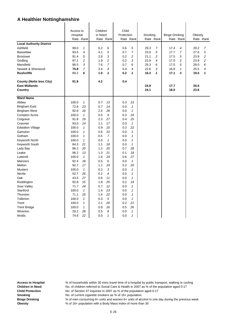|                                 | Access to                           | Children                          | Child                  |                        |                        |                        |
|---------------------------------|-------------------------------------|-----------------------------------|------------------------|------------------------|------------------------|------------------------|
|                                 | Hospital                            | in Need                           | Protection             | Smoking                | <b>Binge Drinking</b>  | Obesity                |
|                                 | Rate Rank                           | Rate Rank                         | Rate Rank              | Rate Rank              | Rate Rank              | Rate Rank              |
| <b>Local Authority District</b> |                                     |                                   |                        |                        |                        |                        |
| Ashfield                        | 99.0<br>$\mathbf{1}$                | 6.2<br>6                          | 5<br>0.6               | 29.3<br>$\overline{7}$ | 17.4<br>4              | 29.2<br>$\overline{7}$ |
| <b>Bassetlaw</b>                | 93.5<br>$\overline{4}$              | 5<br>4.1                          | 7<br>0.7               | 5<br>23.0              | 7<br>17.7              | 5<br>27.6              |
| <b>Broxtowe</b>                 | 91.4<br>5                           | 2.8<br>3                          | 0.2<br>2               | 2<br>21.1              | 17.5<br>5              | 23.9<br>2              |
| Gedling                         | $\overline{c}$<br>97.1              | $\overline{c}$<br>1.9             | 0.2<br>3               | 22.9<br>$\overline{4}$ | $\overline{c}$<br>17.0 | $\overline{c}$<br>23.9 |
| Mansfield                       | 3<br>96.5                           | $\overline{7}$<br>7.6             | 0.7<br>6               | 25.3<br>6              | 5<br>17.5              | 6<br>28.0              |
| Newark & Sherwood               | $\overline{7}$<br>75.8              | 3.4<br>4                          | 0.4<br>4               | 22.6<br>3              | 16.8<br>$\mathbf{1}$   | 25.5<br>4              |
| <b>Rushcliffe</b>               | 89.2<br>6                           | 1.0<br>1                          | 0.2<br>1               | 16.3<br>1              | 17.1<br>3              | 19.5<br>1              |
|                                 |                                     |                                   |                        |                        |                        |                        |
| <b>County (Notts less City)</b> | 91.8                                | 4.2                               | 0.4                    |                        |                        |                        |
| <b>East Midlands</b>            |                                     |                                   |                        | 24.9<br>24.1           | 17.7<br>18.0           | 25.6<br>23.6           |
| Country                         |                                     |                                   |                        |                        |                        |                        |
| <b>Ward Name</b>                |                                     |                                   |                        |                        |                        |                        |
| Abbey                           | 100.0<br>$\mathbf{1}$               | 0.7<br>13                         | 0.3<br>23              |                        |                        |                        |
| <b>Bingham East</b>             | 72.8<br>23                          | 0.7<br>14                         | 0.0<br>$\mathbf{1}$    |                        |                        |                        |
| <b>Bingham West</b>             | 92.8<br>16                          | 28<br>2.5                         | 0.0<br>$\mathbf{1}$    |                        |                        |                        |
| <b>Compton Acres</b>            | 100.0<br>$\mathcal I$               | 9<br>0.5                          | 24<br>0.3              |                        |                        |                        |
| Cotgrave                        | 91.8<br>19                          | 2.3<br>27                         | 0.4<br>25              |                        |                        |                        |
| Cranmer                         | 93.0<br>14                          | 17<br>1.1                         | $\mathbf{1}$<br>0.0    |                        |                        |                        |
| <b>Edwalton Village</b>         | 100.0<br>$\mathbf{1}$               | 0.9<br>15                         | 0.3<br>22              |                        |                        |                        |
| Gamston                         | 100.0<br>$\mathbf{1}$               | 0.6<br>10                         | 0.0<br>$\mathbf{1}$    |                        |                        |                        |
| Gotham                          | 100.0<br>$\mathbf{1}$               | $\overline{7}$<br>0.5             | 0.0<br>$\mathbf{1}$    |                        |                        |                        |
| Keyworth North                  | $\mathbf{1}$<br>100.0               | $\mathbf{1}$<br>0.0               | $\mathbf{1}$<br>0.0    |                        |                        |                        |
| Keyworth South                  | 21<br>84.3                          | 18<br>1.1                         | $\mathbf{1}$<br>0.0    |                        |                        |                        |
| Lady Bay                        | 86.2<br>20                          | 1.2<br>20                         | 0.7<br>28              |                        |                        |                        |
| Leake<br>Lutterell              | 96.2<br>13<br>100.0<br>$\mathcal I$ | 21<br>1.3<br>1.6<br>24            | 0.1<br>18<br>0.6<br>27 |                        |                        |                        |
| Manvers                         | 92.4<br>18                          | 6<br>0.5                          | 0.0<br>$\mathbf{1}$    |                        |                        |                        |
| Melton                          | 92.7<br>17                          | 1.1<br>19                         | 20<br>0.2              |                        |                        |                        |
| <b>Musters</b>                  | 100.0<br>$\mathcal I$               | 0.2<br>3                          | 0.0<br>$\mathbf{1}$    |                        |                        |                        |
| Nevile                          | 52.7<br>26                          | 0.2<br>4                          | $\mathbf{1}$<br>0.0    |                        |                        |                        |
| Oak                             | 43.5<br>27                          | 0.6<br>11                         | 0.0<br>$\mathbf{1}$    |                        |                        |                        |
| Ruddington                      | 92.8<br>15                          | 25<br>1.8                         | 0.2<br>19              |                        |                        |                        |
| Soar Valley                     | 71.7<br>24                          | 0.7<br>12                         | $\mathbf{1}$<br>0.0    |                        |                        |                        |
| Stanford                        | 100.0<br>$\mathbf{1}$               | 1.4<br>23                         | 0.0<br>$\mathbf{1}$    |                        |                        |                        |
| Thoroton                        | 71.1<br>25                          | 22<br>1.4                         | 0.0<br>$\mathbf{1}$    |                        |                        |                        |
| Tollerton                       | 100.0<br>$\mathbf{1}$               | 0.3<br>5                          | 0.0<br>1               |                        |                        |                        |
| Trent                           | 100.0<br>$\mathbf{1}$               | 2.1<br>26                         | 0.2<br>21              |                        |                        |                        |
| <b>Trent Bridge</b>             | 100.0<br>$\mathbf{1}$               | 0.9<br>16                         | 0.5<br>26              |                        |                        |                        |
| Wiverton                        | 28<br>29.2                          | 8<br>0.5                          | 0.0<br>1               |                        |                        |                        |
| Wolds                           | 22<br>74.6                          | 0.0<br>$\boldsymbol{\mathcal{I}}$ | 0.0<br>$\mathbf{1}$    |                        |                        |                        |

Access to Hospital **800 %** of households within 30 mins travel time of a hospital by public transport, walking or cycling **Children in Need** No. of children referred to Social Care & Health in 2007 as % of the population aged 0-17 **Child Protection** No. of Section 47 inquiries in 2007 as % of the population aged 0-17

**Smoking** No. of current cigarette smokers as % of 16+ population

**Binge Drinking** % of men consuming 8+ units and women 6+ units of alcohol in one day during the previous week **Obesity** We of 16+ population with a Body Mass Index of more than 30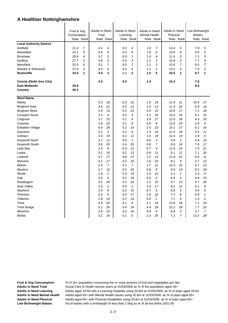|                                 |                            |                |            | <b>Adults in Need</b> |            |                                   |            |                                               |            |                                   |            | Low Birthweight |  |
|---------------------------------|----------------------------|----------------|------------|-----------------------|------------|-----------------------------------|------------|-----------------------------------------------|------------|-----------------------------------|------------|-----------------|--|
|                                 | Fruit & Veg<br>Consumption |                |            | Total                 |            | <b>Adults in Need</b><br>Learning |            | <b>Adults in Need</b><br><b>Mental Health</b> |            | <b>Adults in Need</b><br>Physical |            | <b>Babies</b>   |  |
|                                 |                            | Rate Rank      |            | Rate Rank             |            | Rate Rank                         |            | Rate Rank                                     |            | Rate Rank                         |            | Rate Rank       |  |
| <b>Local Authority District</b> |                            |                |            |                       |            |                                   |            |                                               |            |                                   |            |                 |  |
| Ashfield                        | 21.0                       | $\overline{7}$ | 4.4        | 4                     | 0.3        | 4                                 | 1.8        | 7                                             | 13.4       | 5                                 | 7.9        | 5               |  |
| <b>Bassetlaw</b>                | 23.1                       | 5              | 4.8        | 6                     | 0.4        | 5                                 | 1.6        | 6                                             | 13.6       | 6                                 | 8.0        | 6               |  |
| <b>Broxtowe</b>                 | 25.8                       | $\overline{4}$ | 3.7        | 3                     | 0.3        | $\mathbf{1}$                      | 1.4        | 4                                             | 11.4       | 3                                 | 7.1        | 3               |  |
| Gedling                         | 27.7                       | $\overline{c}$ | 3.6        | 2                     | 0.3        | 3                                 | 1.1        | 3                                             | 10.9       | 2                                 | 7.7        | 4               |  |
| Mansfield                       | 22.0                       | 6              | 5.1        | 7                     | 0.5        | $\overline{7}$                    | 1.1        | $\overline{c}$                                | 13.6       | 7                                 | 8.5        | $\overline{7}$  |  |
| Newark & Sherwood               | 27.4                       | 3              | 4.5        | 5                     | 0.4        | 6                                 | 1.1        | $\mathbf{1}$                                  | 13.2       | 4                                 | 7.0        | 2               |  |
| <b>Rushcliffe</b>               | 33.5                       | 1              | 3.4        | 1                     | 0.3        | $\overline{2}$                    | 1.5        | 5                                             | 10.5       | 1                                 | 6.7        | $\mathbf{1}$    |  |
| <b>County (Notts less City)</b> |                            |                | 4.2        |                       | 0.3        |                                   | 1.4        |                                               | 12.4       |                                   | 7.6        |                 |  |
| <b>East Midlands</b>            | 25.9                       |                |            |                       |            |                                   |            |                                               |            |                                   | 8.0        |                 |  |
| Country                         | 26.3                       |                |            |                       |            |                                   |            |                                               |            |                                   |            |                 |  |
|                                 |                            |                |            |                       |            |                                   |            |                                               |            |                                   |            |                 |  |
| <b>Ward Name</b>                |                            |                |            |                       |            |                                   |            |                                               |            |                                   |            |                 |  |
| Abbey                           |                            |                | 3.3        | 18                    | 0.3        | 22                                | 1.6        | 19                                            | 11.9       | 21                                | 10.4       | 27              |  |
| <b>Bingham East</b>             |                            |                | 3.6        | 21                    | 0.2        | 12                                | 1.0        | 13                                            | 11.2       | 20                                | 5.9        | 14              |  |
| Bingham West                    |                            |                | 2.8        | 13                    | 0.3        | 23                                | 0.9        | 10                                            | 10.9       | 17                                | 7.1        | 18              |  |
| <b>Compton Acres</b>            |                            |                | 2.1        | $\overline{4}$        | 0.0        | 3                                 | 3.2        | 26                                            | 10.4       | 16                                | 6.1        | 15              |  |
| Cotgrave                        |                            |                | 3.7        | 22                    | 0.1        | 6                                 | 3.9        | 27                                            | 12.9       | 26                                | 9.3        | 25              |  |
| Cranmer                         |                            |                | 3.9        | 23                    | 0.1        | 8                                 | 0.8        | 8                                             | 12.8       | 25                                | 2.6        | $\overline{4}$  |  |
| <b>Edwalton Village</b>         |                            |                | 6.4        | 28                    | 0.2        | 10                                | 2.0        | 23                                            | 15.1       | 27                                | 6.1        | 16              |  |
| Gamston                         |                            |                | 2.1        | 3                     | 0.1        | 9                                 | 1.3        | 16                                            | 11.0       | 18                                | 5.5        | 11              |  |
| Gotham                          |                            |                | 3.4        | 19                    | 0.2        | 11                                | 1.5        | 18                                            | 11.0       | 19                                | 2.9        | 5               |  |
| Keyworth North                  |                            |                | 2.7        | 11<br>20              | 0.0<br>0.4 | $\mathbf{1}$<br>25                | 0.6        | 3<br>$\overline{7}$                           | 5.8<br>8.9 | $\overline{c}$<br>10              | 4.9<br>7.0 | 10<br>17        |  |
| Keyworth South                  |                            |                | 3.6<br>2.5 | 8                     | 0.3        | 21                                | 0.8<br>0.7 | $\overline{4}$                                | 11.9       | 23                                | 7.3        | 21              |  |
| Lady Bay<br>Leake               |                            |                | 3.1        | 15                    | 0.2        | 13                                | 0.9        | 11                                            | 9.1        | 11                                | 7.1        | 20              |  |
| Lutterell                       |                            |                | 5.7        | 27                    | 0.6        | 27                                | 1.2        | 14                                            | 11.9       | 22                                | 4.0        | 8               |  |
| Manvers                         |                            |                | 3.2        | 17                    | 0.3        | 20                                | 1.6        | 20                                            | 8.2        | 9                                 | 5.7        | 12              |  |
| Melton                          |                            |                | 2.4        | $\overline{7}$        | 0.1        | $\overline{7}$                    | 1.7        | 21                                            | 10.3       | 15                                | 5.7        | 13              |  |
| <b>Musters</b>                  |                            |                | 2.7        | 12                    | 0.5        | 26                                | 0.8        | 9                                             | 9.9        | 14                                | 9.2        | 24              |  |
| Nevile                          |                            |                | 1.8        | $\mathbf{1}$          | 0.3        | 19                                | 1.0        | 12                                            | 5.1        | $\mathbf{1}$                      | 2.3        | 3               |  |
| Oak                             |                            |                | 2.6        | 9                     | 0.2        | 18                                | 0.5        | $\overline{c}$                                | 6.8        | 4                                 | 8.9        | 23              |  |
| Ruddington                      |                            |                | 4.1        | 24                    | 0.7        | 28                                | 1.2        | 15                                            | 9.7        | 13                                | 9.7        | 26              |  |
| Soar Valley                     |                            |                | 2.0        | $\overline{c}$        | 0.0        | $\mathbf{1}$                      | 1.4        | 17                                            | 9.2        | 12                                | 3.1        | 6               |  |
| Stanford                        |                            |                | 2.4        | 6                     | 0.2        | 15                                | 0.7        | 5                                             | 6.9        | 5                                 | 4.0        | 9               |  |
| Thoroton                        |                            |                | 2.2        | 5                     | 0.2        | 17                                | 1.8        | 22                                            | 7.2        | 8                                 | 0.9        | $\mathbf{1}$    |  |
| Tollerton                       |                            |                | 2.8        | 14                    | 0.2        | 14                                | 0.4        | $\mathbf{1}$                                  | 7.1        | 6                                 | 1.4        | $\overline{c}$  |  |
| Trent                           |                            |                | 4.9        | 25                    | 0.1        | 4                                 | 2.1        | 24                                            | 12.8       | 24                                | 7.1        | 19              |  |
| <b>Trent Bridge</b>             |                            |                | 5.1        | 26                    | 0.4        | 24                                | 4.9        | 28                                            | 22.2       | 28                                | 7.7        | 22              |  |
| Wiverton                        |                            |                | 2.6        | 10                    | 0.2        | 16                                | 0.8        | 6                                             | 6.8        | 3                                 | 3.7        | $\overline{7}$  |  |
| Wolds                           |                            |                | 3.2        | 16                    | 0.1        | 5                                 | 2.3        | 25                                            | 7.2        | 7                                 | 13.2       | 28              |  |